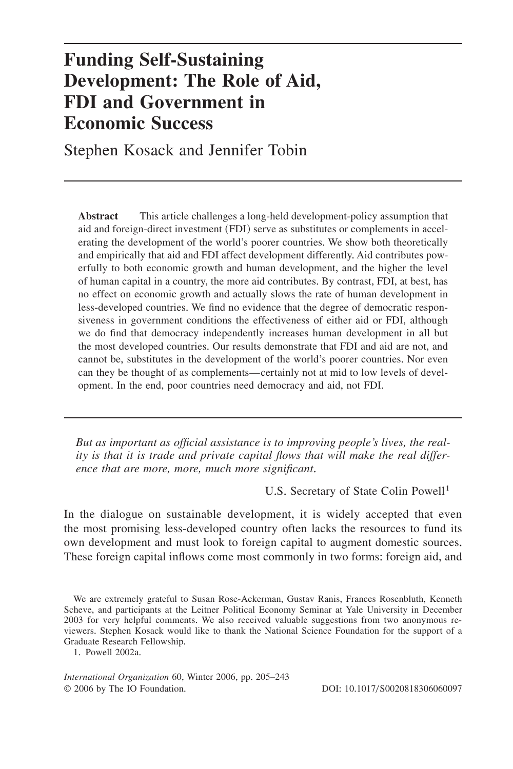# **Funding Self-Sustaining Development: The Role of Aid, FDI and Government in Economic Success**

Stephen Kosack and Jennifer Tobin

**Abstract** This article challenges a long-held development-policy assumption that aid and foreign-direct investment (FDI) serve as substitutes or complements in accelerating the development of the world's poorer countries. We show both theoretically and empirically that aid and FDI affect development differently+ Aid contributes powerfully to both economic growth and human development, and the higher the level of human capital in a country, the more aid contributes+ By contrast, FDI, at best, has no effect on economic growth and actually slows the rate of human development in less-developed countries. We find no evidence that the degree of democratic responsiveness in government conditions the effectiveness of either aid or FDI, although we do find that democracy independently increases human development in all but the most developed countries. Our results demonstrate that FDI and aid are not, and cannot be, substitutes in the development of the world's poorer countries. Nor even can they be thought of as complements—certainly not at mid to low levels of development. In the end, poor countries need democracy and aid, not FDI.

*But as important as official assistance is to improving people's lives, the reality is that it is trade and private capital flows that will make the real difference that are more, more, much more significant.* 

U.S. Secretary of State Colin Powell<sup>1</sup>

In the dialogue on sustainable development, it is widely accepted that even the most promising less-developed country often lacks the resources to fund its own development and must look to foreign capital to augment domestic sources. These foreign capital inflows come most commonly in two forms: foreign aid, and

We are extremely grateful to Susan Rose-Ackerman, Gustav Ranis, Frances Rosenbluth, Kenneth Scheve, and participants at the Leitner Political Economy Seminar at Yale University in December 2003 for very helpful comments. We also received valuable suggestions from two anonymous reviewers+ Stephen Kosack would like to thank the National Science Foundation for the support of a Graduate Research Fellowship+

1. Powell  $2002a$ .

*International Organization* 60, Winter 2006, pp. 205–243 © 2006 by The IO Foundation. DOI: 10.1017/S0020818306060097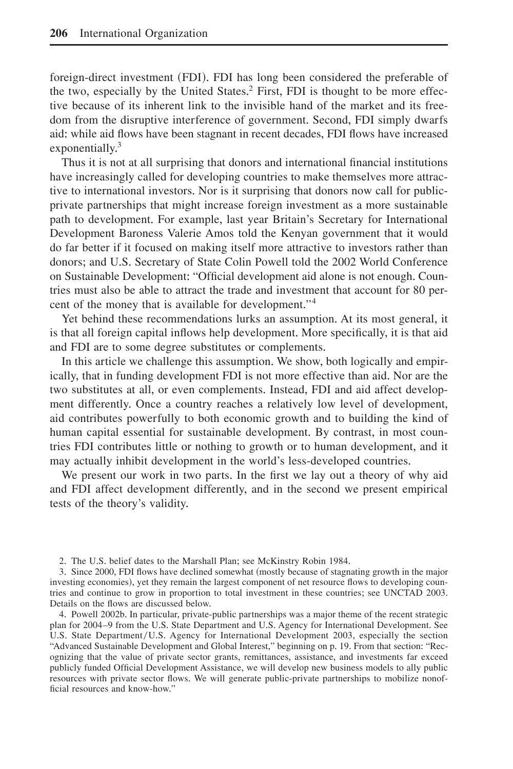foreign-direct investment (FDI). FDI has long been considered the preferable of the two, especially by the United States.<sup>2</sup> First, FDI is thought to be more effective because of its inherent link to the invisible hand of the market and its freedom from the disruptive interference of government. Second, FDI simply dwarfs aid: while aid flows have been stagnant in recent decades, FDI flows have increased exponentially.<sup>3</sup>

Thus it is not at all surprising that donors and international financial institutions have increasingly called for developing countries to make themselves more attractive to international investors. Nor is it surprising that donors now call for publicprivate partnerships that might increase foreign investment as a more sustainable path to development. For example, last year Britain's Secretary for International Development Baroness Valerie Amos told the Kenyan government that it would do far better if it focused on making itself more attractive to investors rather than donors; and U.S. Secretary of State Colin Powell told the 2002 World Conference on Sustainable Development: "Official development aid alone is not enough. Countries must also be able to attract the trade and investment that account for 80 percent of the money that is available for development." $4$ 

Yet behind these recommendations lurks an assumption. At its most general, it is that all foreign capital inflows help development. More specifically, it is that aid and FDI are to some degree substitutes or complements.

In this article we challenge this assumption. We show, both logically and empirically, that in funding development FDI is not more effective than aid. Nor are the two substitutes at all, or even complements. Instead, FDI and aid affect development differently. Once a country reaches a relatively low level of development, aid contributes powerfully to both economic growth and to building the kind of human capital essential for sustainable development. By contrast, in most countries FDI contributes little or nothing to growth or to human development, and it may actually inhibit development in the world's less-developed countries.

We present our work in two parts. In the first we lay out a theory of why aid and FDI affect development differently, and in the second we present empirical tests of the theory's validity.

2. The U.S. belief dates to the Marshall Plan; see McKinstry Robin 1984.

3. Since 2000, FDI flows have declined somewhat (mostly because of stagnating growth in the major investing economies), yet they remain the largest component of net resource flows to developing countries and continue to grow in proportion to total investment in these countries; see UNCTAD 2003. Details on the flows are discussed below.

4. Powell 2002b. In particular, private-public partnerships was a major theme of the recent strategic plan for 2004–9 from the U.S. State Department and U.S. Agency for International Development. See U.S. State Department/U.S. Agency for International Development 2003, especially the section "Advanced Sustainable Development and Global Interest," beginning on p. 19. From that section: "Recognizing that the value of private sector grants, remittances, assistance, and investments far exceed publicly funded Official Development Assistance, we will develop new business models to ally public resources with private sector flows. We will generate public-private partnerships to mobilize nonofficial resources and know-how."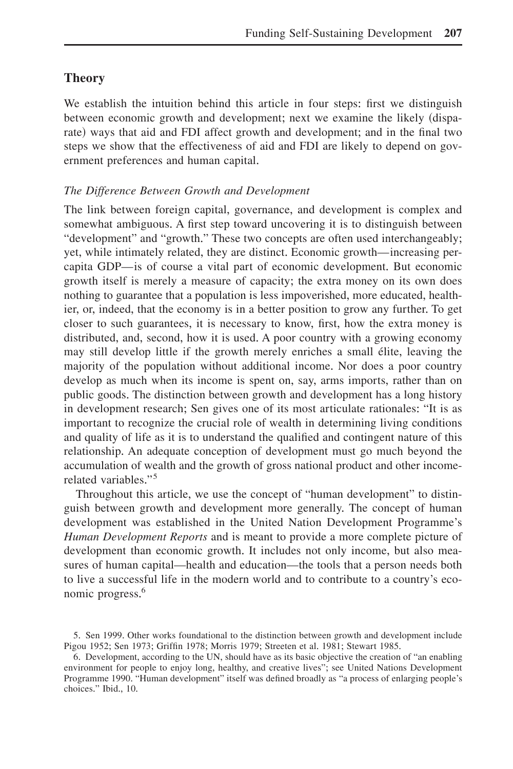# **Theory**

We establish the intuition behind this article in four steps: first we distinguish between economic growth and development; next we examine the likely (disparate) ways that aid and FDI affect growth and development; and in the final two steps we show that the effectiveness of aid and FDI are likely to depend on government preferences and human capital.

### *The Difference Between Growth and Development*

The link between foreign capital, governance, and development is complex and somewhat ambiguous. A first step toward uncovering it is to distinguish between "development" and "growth." These two concepts are often used interchangeably; yet, while intimately related, they are distinct. Economic growth—increasing percapita GDP—is of course a vital part of economic development. But economic growth itself is merely a measure of capacity; the extra money on its own does nothing to guarantee that a population is less impoverished, more educated, healthier, or, indeed, that the economy is in a better position to grow any further. To get closer to such guarantees, it is necessary to know, first, how the extra money is distributed, and, second, how it is used. A poor country with a growing economy may still develop little if the growth merely enriches a small élite, leaving the majority of the population without additional income. Nor does a poor country develop as much when its income is spent on, say, arms imports, rather than on public goods. The distinction between growth and development has a long history in development research; Sen gives one of its most articulate rationales: "It is as important to recognize the crucial role of wealth in determining living conditions and quality of life as it is to understand the qualified and contingent nature of this relationship. An adequate conception of development must go much beyond the accumulation of wealth and the growth of gross national product and other incomerelated variables."<sup>5</sup>

Throughout this article, we use the concept of "human development" to distinguish between growth and development more generally. The concept of human development was established in the United Nation Development Programme's *Human Development Reports* and is meant to provide a more complete picture of development than economic growth. It includes not only income, but also measures of human capital—health and education—the tools that a person needs both to live a successful life in the modern world and to contribute to a country's economic progress.<sup>6</sup>

<sup>5.</sup> Sen 1999. Other works foundational to the distinction between growth and development include Pigou 1952; Sen 1973; Griffin 1978; Morris 1979; Streeten et al. 1981; Stewart 1985.

<sup>6</sup>+ Development, according to the UN, should have as its basic objective the creation of "an enabling environment for people to enjoy long, healthy, and creative lives"; see United Nations Development Programme 1990. "Human development" itself was defined broadly as "a process of enlarging people's choices." Ibid., 10.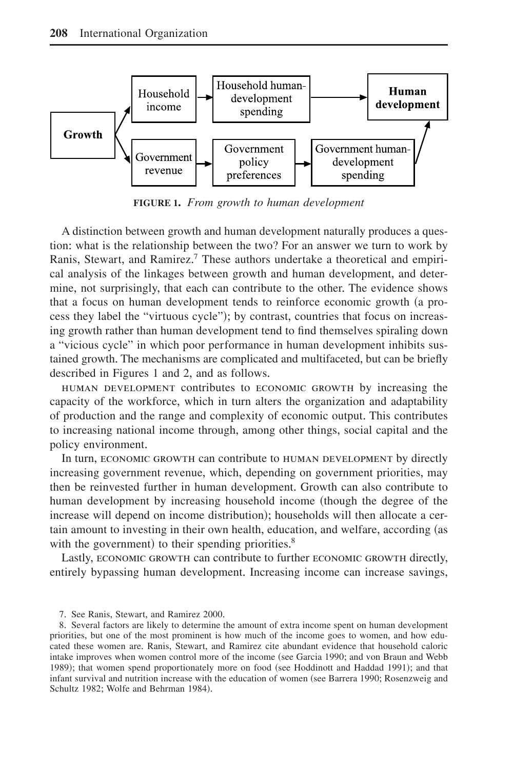

**FIGURE 1.** *From growth to human development*

A distinction between growth and human development naturally produces a question: what is the relationship between the two? For an answer we turn to work by Ranis, Stewart, and Ramirez.<sup>7</sup> These authors undertake a theoretical and empirical analysis of the linkages between growth and human development, and determine, not surprisingly, that each can contribute to the other. The evidence shows that a focus on human development tends to reinforce economic growth (a process they label the "virtuous cycle"); by contrast, countries that focus on increasing growth rather than human development tend to find themselves spiraling down a "vicious cycle" in which poor performance in human development inhibits sustained growth. The mechanisms are complicated and multifaceted, but can be briefly described in Figures 1 and 2, and as follows+

human development contributes to economic growth by increasing the capacity of the workforce, which in turn alters the organization and adaptability of production and the range and complexity of economic output. This contributes to increasing national income through, among other things, social capital and the policy environment.

In turn, ECONOMIC GROWTH can contribute to HUMAN DEVELOPMENT by directly increasing government revenue, which, depending on government priorities, may then be reinvested further in human development. Growth can also contribute to human development by increasing household income (though the degree of the increase will depend on income distribution); households will then allocate a certain amount to investing in their own health, education, and welfare, according (as with the government) to their spending priorities.<sup>8</sup>

Lastly, economic growth can contribute to further economic growth directly, entirely bypassing human development. Increasing income can increase savings,

<sup>7.</sup> See Ranis, Stewart, and Ramirez 2000.

<sup>8.</sup> Several factors are likely to determine the amount of extra income spent on human development priorities, but one of the most prominent is how much of the income goes to women, and how educated these women are. Ranis, Stewart, and Ramirez cite abundant evidence that household caloric intake improves when women control more of the income (see Garcia 1990; and von Braun and Webb 1989); that women spend proportionately more on food (see Hoddinott and Haddad 1991); and that infant survival and nutrition increase with the education of women (see Barrera 1990; Rosenzweig and Schultz 1982; Wolfe and Behrman 1984).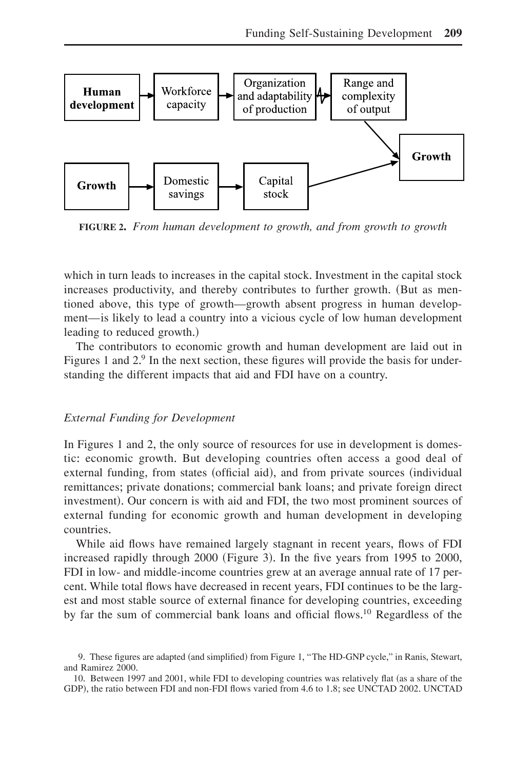

**FIGURE 2.** *From human development to growth, and from growth to growth*

which in turn leads to increases in the capital stock. Investment in the capital stock increases productivity, and thereby contributes to further growth. (But as mentioned above, this type of growth—growth absent progress in human development—is likely to lead a country into a vicious cycle of low human development leading to reduced growth.)

The contributors to economic growth and human development are laid out in Figures 1 and 2.<sup>9</sup> In the next section, these figures will provide the basis for understanding the different impacts that aid and FDI have on a country.

#### *External Funding for Development*

In Figures 1 and 2, the only source of resources for use in development is domestic: economic growth. But developing countries often access a good deal of external funding, from states (official aid), and from private sources (individual remittances; private donations; commercial bank loans; and private foreign direct investment). Our concern is with aid and FDI, the two most prominent sources of external funding for economic growth and human development in developing countries.

While aid flows have remained largely stagnant in recent years, flows of FDI increased rapidly through  $2000$  (Figure 3). In the five years from 1995 to 2000, FDI in low- and middle-income countries grew at an average annual rate of 17 percent. While total flows have decreased in recent years, FDI continues to be the largest and most stable source of external finance for developing countries, exceeding by far the sum of commercial bank loans and official flows.<sup>10</sup> Regardless of the

<sup>9.</sup> These figures are adapted (and simplified) from Figure 1, "The HD-GNP cycle," in Ranis, Stewart, and Ramirez 2000.

<sup>10.</sup> Between 1997 and 2001, while FDI to developing countries was relatively flat (as a share of the GDP), the ratio between FDI and non-FDI flows varied from 4.6 to 1.8; see UNCTAD 2002. UNCTAD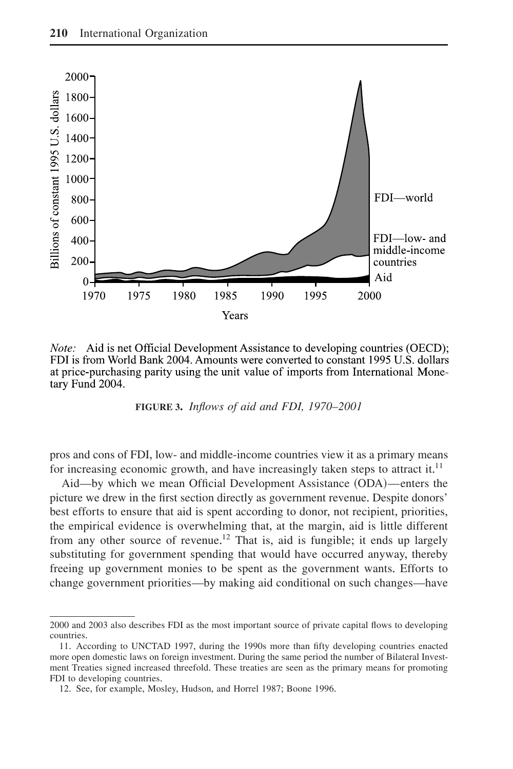

*Note:* Aid is net Official Development Assistance to developing countries (OECD); FDI is from World Bank 2004. Amounts were converted to constant 1995 U.S. dollars at price-purchasing parity using the unit value of imports from International Monetary Fund 2004.

**FIGURE 3.** *Inflows of aid and FDI, 1970–2001*

pros and cons of FDI, low- and middle-income countries view it as a primary means for increasing economic growth, and have increasingly taken steps to attract it.<sup>11</sup>

Aid—by which we mean Official Development Assistance (ODA)—enters the picture we drew in the first section directly as government revenue. Despite donors' best efforts to ensure that aid is spent according to donor, not recipient, priorities, the empirical evidence is overwhelming that, at the margin, aid is little different from any other source of revenue.<sup>12</sup> That is, aid is fungible; it ends up largely substituting for government spending that would have occurred anyway, thereby freeing up government monies to be spent as the government wants. Efforts to change government priorities—by making aid conditional on such changes—have

<sup>2000</sup> and 2003 also describes FDI as the most important source of private capital flows to developing countries.

<sup>11.</sup> According to UNCTAD 1997, during the 1990s more than fifty developing countries enacted more open domestic laws on foreign investment. During the same period the number of Bilateral Investment Treaties signed increased threefold. These treaties are seen as the primary means for promoting FDI to developing countries.

<sup>12.</sup> See, for example, Mosley, Hudson, and Horrel 1987; Boone 1996.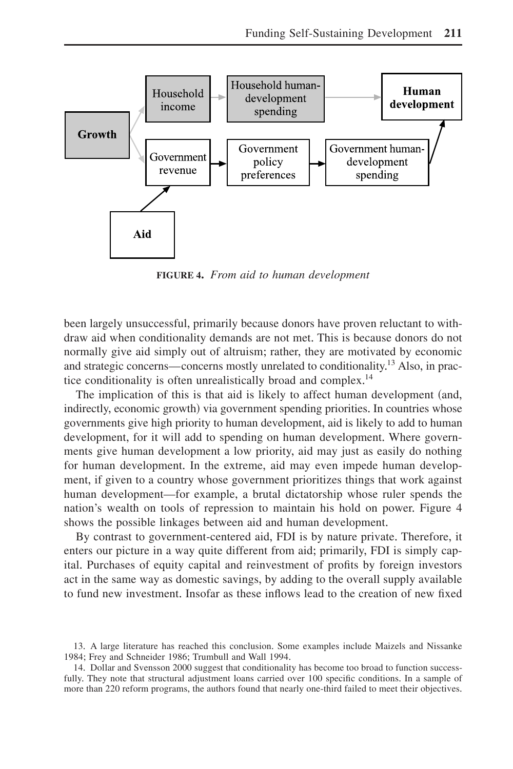

**FIGURE 4.** *From aid to human development*

been largely unsuccessful, primarily because donors have proven reluctant to withdraw aid when conditionality demands are not met. This is because donors do not normally give aid simply out of altruism; rather, they are motivated by economic and strategic concerns—concerns mostly unrelated to conditionality.<sup>13</sup> Also, in practice conditionality is often unrealistically broad and complex.<sup>14</sup>

The implication of this is that aid is likely to affect human development (and, indirectly, economic growth) via government spending priorities. In countries whose governments give high priority to human development, aid is likely to add to human development, for it will add to spending on human development. Where governments give human development a low priority, aid may just as easily do nothing for human development. In the extreme, aid may even impede human development, if given to a country whose government prioritizes things that work against human development—for example, a brutal dictatorship whose ruler spends the nation's wealth on tools of repression to maintain his hold on power. Figure 4 shows the possible linkages between aid and human development.

By contrast to government-centered aid, FDI is by nature private. Therefore, it enters our picture in a way quite different from aid; primarily, FDI is simply capital. Purchases of equity capital and reinvestment of profits by foreign investors act in the same way as domestic savings, by adding to the overall supply available to fund new investment. Insofar as these inflows lead to the creation of new fixed

<sup>13.</sup> A large literature has reached this conclusion. Some examples include Maizels and Nissanke 1984; Frey and Schneider 1986; Trumbull and Wall 1994.

<sup>14.</sup> Dollar and Svensson 2000 suggest that conditionality has become too broad to function successfully. They note that structural adjustment loans carried over 100 specific conditions. In a sample of more than 220 reform programs, the authors found that nearly one-third failed to meet their objectives.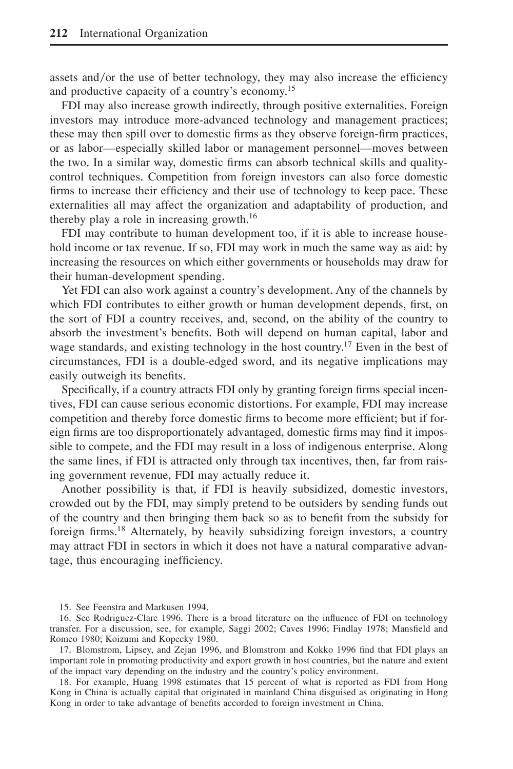assets and/or the use of better technology, they may also increase the efficiency and productive capacity of a country's economy.<sup>15</sup>

FDI may also increase growth indirectly, through positive externalities. Foreign investors may introduce more-advanced technology and management practices; these may then spill over to domestic firms as they observe foreign-firm practices, or as labor—especially skilled labor or management personnel—moves between the two. In a similar way, domestic firms can absorb technical skills and qualitycontrol techniques. Competition from foreign investors can also force domestic firms to increase their efficiency and their use of technology to keep pace. These externalities all may affect the organization and adaptability of production, and thereby play a role in increasing growth.<sup>16</sup>

FDI may contribute to human development too, if it is able to increase household income or tax revenue. If so, FDI may work in much the same way as aid: by increasing the resources on which either governments or households may draw for their human-development spending.

Yet FDI can also work against a country's development. Any of the channels by which FDI contributes to either growth or human development depends, first, on the sort of FDI a country receives, and, second, on the ability of the country to absorb the investment's benefits. Both will depend on human capital, labor and wage standards, and existing technology in the host country.<sup>17</sup> Even in the best of circumstances, FDI is a double-edged sword, and its negative implications may easily outweigh its benefits.

Specifically, if a country attracts FDI only by granting foreign firms special incentives, FDI can cause serious economic distortions. For example, FDI may increase competition and thereby force domestic firms to become more efficient; but if foreign firms are too disproportionately advantaged, domestic firms may find it impossible to compete, and the FDI may result in a loss of indigenous enterprise. Along the same lines, if FDI is attracted only through tax incentives, then, far from raising government revenue, FDI may actually reduce it.

Another possibility is that, if FDI is heavily subsidized, domestic investors, crowded out by the FDI, may simply pretend to be outsiders by sending funds out of the country and then bringing them back so as to benefit from the subsidy for foreign firms.<sup>18</sup> Alternately, by heavily subsidizing foreign investors, a country may attract FDI in sectors in which it does not have a natural comparative advantage, thus encouraging inefficiency.

15. See Feenstra and Markusen 1994.

16. See Rodriguez-Clare 1996. There is a broad literature on the influence of FDI on technology transfer. For a discussion, see, for example, Saggi 2002; Caves 1996; Findlay 1978; Mansfield and Romeo 1980; Koizumi and Kopecky 1980+

17. Blomstrom, Lipsey, and Zejan 1996, and Blomstrom and Kokko 1996 find that FDI plays an important role in promoting productivity and export growth in host countries, but the nature and extent of the impact vary depending on the industry and the country's policy environment.

18. For example, Huang 1998 estimates that 15 percent of what is reported as FDI from Hong Kong in China is actually capital that originated in mainland China disguised as originating in Hong Kong in order to take advantage of benefits accorded to foreign investment in China.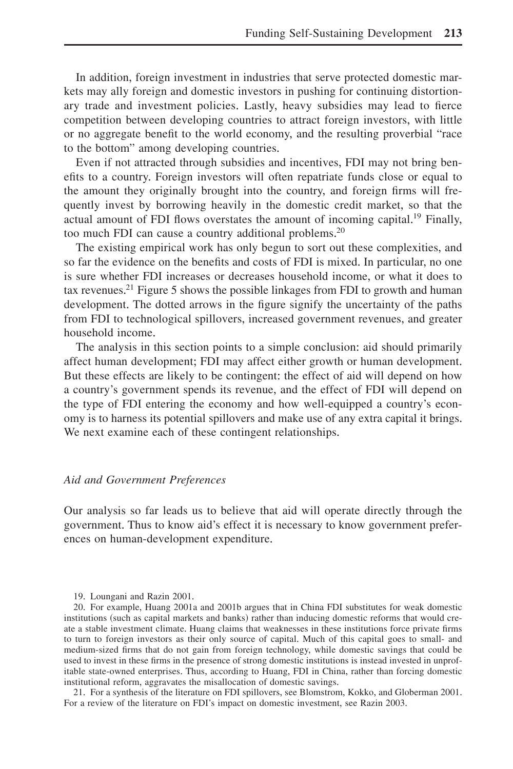In addition, foreign investment in industries that serve protected domestic markets may ally foreign and domestic investors in pushing for continuing distortionary trade and investment policies. Lastly, heavy subsidies may lead to fierce competition between developing countries to attract foreign investors, with little or no aggregate benefit to the world economy, and the resulting proverbial "race to the bottom" among developing countries.

Even if not attracted through subsidies and incentives, FDI may not bring benefits to a country. Foreign investors will often repatriate funds close or equal to the amount they originally brought into the country, and foreign firms will frequently invest by borrowing heavily in the domestic credit market, so that the actual amount of FDI flows overstates the amount of incoming capital.<sup>19</sup> Finally, too much FDI can cause a country additional problems.<sup>20</sup>

The existing empirical work has only begun to sort out these complexities, and so far the evidence on the benefits and costs of FDI is mixed. In particular, no one is sure whether FDI increases or decreases household income, or what it does to tax revenues.<sup>21</sup> Figure 5 shows the possible linkages from FDI to growth and human development. The dotted arrows in the figure signify the uncertainty of the paths from FDI to technological spillovers, increased government revenues, and greater household income+

The analysis in this section points to a simple conclusion: aid should primarily affect human development; FDI may affect either growth or human development. But these effects are likely to be contingent: the effect of aid will depend on how a country's government spends its revenue, and the effect of FDI will depend on the type of FDI entering the economy and how well-equipped a country's economy is to harness its potential spillovers and make use of any extra capital it brings+ We next examine each of these contingent relationships.

#### *Aid and Government Preferences*

Our analysis so far leads us to believe that aid will operate directly through the government. Thus to know aid's effect it is necessary to know government preferences on human-development expenditure.

19. Loungani and Razin 2001.

20+ For example, Huang 2001a and 2001b argues that in China FDI substitutes for weak domestic institutions (such as capital markets and banks) rather than inducing domestic reforms that would create a stable investment climate. Huang claims that weaknesses in these institutions force private firms to turn to foreign investors as their only source of capital. Much of this capital goes to small- and medium-sized firms that do not gain from foreign technology, while domestic savings that could be used to invest in these firms in the presence of strong domestic institutions is instead invested in unprofitable state-owned enterprises. Thus, according to Huang, FDI in China, rather than forcing domestic institutional reform, aggravates the misallocation of domestic savings.

21. For a synthesis of the literature on FDI spillovers, see Blomstrom, Kokko, and Globerman 2001. For a review of the literature on FDI's impact on domestic investment, see Razin 2003.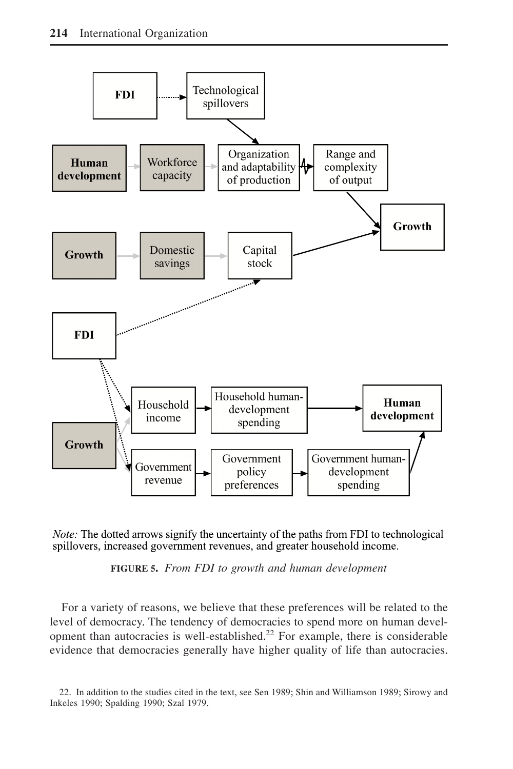



**FIGURE 5.** *From FDI to growth and human development*

For a variety of reasons, we believe that these preferences will be related to the level of democracy. The tendency of democracies to spend more on human development than autocracies is well-established.<sup>22</sup> For example, there is considerable evidence that democracies generally have higher quality of life than autocracies.

<sup>22.</sup> In addition to the studies cited in the text, see Sen 1989; Shin and Williamson 1989; Sirowy and Inkeles 1990; Spalding 1990; Szal 1979+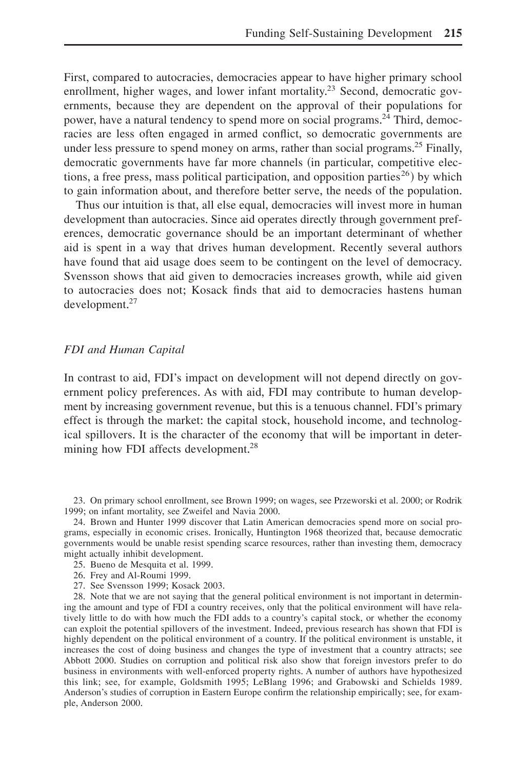First, compared to autocracies, democracies appear to have higher primary school enrollment, higher wages, and lower infant mortality.<sup>23</sup> Second, democratic governments, because they are dependent on the approval of their populations for power, have a natural tendency to spend more on social programs.<sup>24</sup> Third, democracies are less often engaged in armed conflict, so democratic governments are under less pressure to spend money on arms, rather than social programs.<sup>25</sup> Finally, democratic governments have far more channels (in particular, competitive elections, a free press, mass political participation, and opposition parties<sup>26</sup>) by which to gain information about, and therefore better serve, the needs of the population.

Thus our intuition is that, all else equal, democracies will invest more in human development than autocracies. Since aid operates directly through government preferences, democratic governance should be an important determinant of whether aid is spent in a way that drives human development. Recently several authors have found that aid usage does seem to be contingent on the level of democracy. Svensson shows that aid given to democracies increases growth, while aid given to autocracies does not; Kosack finds that aid to democracies hastens human  $d$ evelopment.<sup>27</sup>

#### *FDI and Human Capital*

In contrast to aid, FDI's impact on development will not depend directly on government policy preferences. As with aid, FDI may contribute to human development by increasing government revenue, but this is a tenuous channel. FDI's primary effect is through the market: the capital stock, household income, and technological spillovers. It is the character of the economy that will be important in determining how FDI affects development.<sup>28</sup>

23. On primary school enrollment, see Brown 1999; on wages, see Przeworski et al. 2000; or Rodrik 1999; on infant mortality, see Zweifel and Navia 2000.

24. Brown and Hunter 1999 discover that Latin American democracies spend more on social programs, especially in economic crises. Ironically, Huntington 1968 theorized that, because democratic governments would be unable resist spending scarce resources, rather than investing them, democracy might actually inhibit development.

- 25. Bueno de Mesquita et al. 1999.
- 26. Frey and Al-Roumi 1999.
- 27. See Svensson 1999; Kosack 2003.

28. Note that we are not saying that the general political environment is not important in determining the amount and type of FDI a country receives, only that the political environment will have relatively little to do with how much the FDI adds to a country's capital stock, or whether the economy can exploit the potential spillovers of the investment. Indeed, previous research has shown that FDI is highly dependent on the political environment of a country. If the political environment is unstable, it increases the cost of doing business and changes the type of investment that a country attracts; see Abbott 2000. Studies on corruption and political risk also show that foreign investors prefer to do business in environments with well-enforced property rights. A number of authors have hypothesized this link; see, for example, Goldsmith 1995; LeBlang 1996; and Grabowski and Schields 1989+ Anderson's studies of corruption in Eastern Europe confirm the relationship empirically; see, for example, Anderson 2000.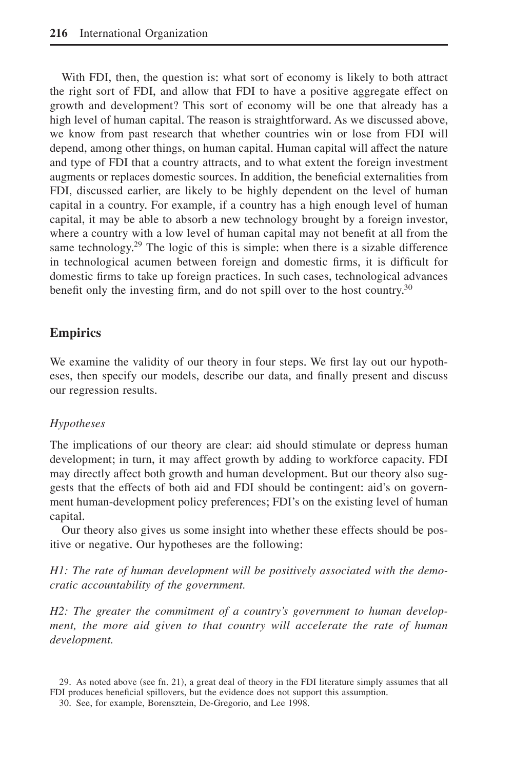With FDI, then, the question is: what sort of economy is likely to both attract the right sort of FDI, and allow that FDI to have a positive aggregate effect on growth and development? This sort of economy will be one that already has a high level of human capital. The reason is straightforward. As we discussed above, we know from past research that whether countries win or lose from FDI will depend, among other things, on human capital. Human capital will affect the nature and type of FDI that a country attracts, and to what extent the foreign investment augments or replaces domestic sources. In addition, the beneficial externalities from FDI, discussed earlier, are likely to be highly dependent on the level of human capital in a country. For example, if a country has a high enough level of human capital, it may be able to absorb a new technology brought by a foreign investor, where a country with a low level of human capital may not benefit at all from the same technology.<sup>29</sup> The logic of this is simple: when there is a sizable difference in technological acumen between foreign and domestic firms, it is difficult for domestic firms to take up foreign practices. In such cases, technological advances benefit only the investing firm, and do not spill over to the host country.<sup>30</sup>

## **Empirics**

We examine the validity of our theory in four steps. We first lay out our hypotheses, then specify our models, describe our data, and finally present and discuss our regression results.

#### *Hypotheses*

The implications of our theory are clear: aid should stimulate or depress human development; in turn, it may affect growth by adding to workforce capacity. FDI may directly affect both growth and human development. But our theory also suggests that the effects of both aid and FDI should be contingent: aid's on government human-development policy preferences; FDI's on the existing level of human capital.

Our theory also gives us some insight into whether these effects should be positive or negative. Our hypotheses are the following:

*H1: The rate of human development will be positively associated with the democratic accountability of the government.*

*H2: The greater the commitment of a country's government to human development, the more aid given to that country will accelerate the rate of human development.*

<sup>29.</sup> As noted above (see fn. 21), a great deal of theory in the FDI literature simply assumes that all FDI produces beneficial spillovers, but the evidence does not support this assumption.

<sup>30.</sup> See, for example, Borensztein, De-Gregorio, and Lee 1998.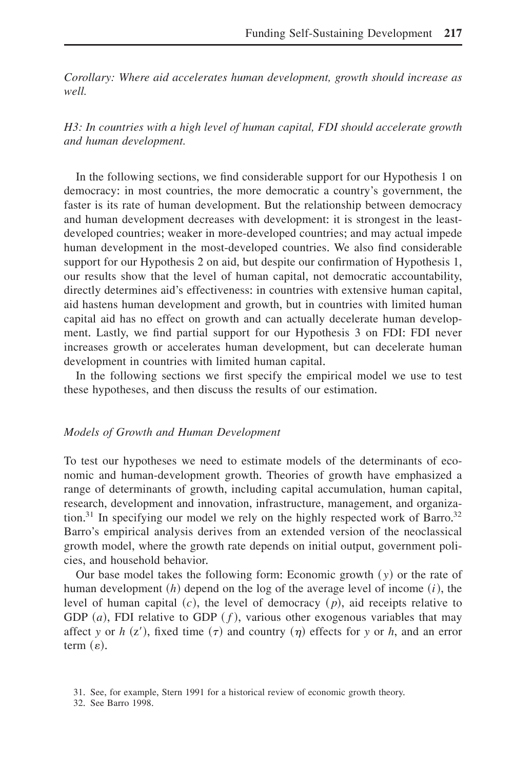*Corollary: Where aid accelerates human development, growth should increase as well.*

*H3: In countries with a high level of human capital, FDI should accelerate growth and human development.*

In the following sections, we find considerable support for our Hypothesis 1 on democracy: in most countries, the more democratic a country's government, the faster is its rate of human development. But the relationship between democracy and human development decreases with development: it is strongest in the leastdeveloped countries; weaker in more-developed countries; and may actual impede human development in the most-developed countries. We also find considerable support for our Hypothesis 2 on aid, but despite our confirmation of Hypothesis 1, our results show that the level of human capital, not democratic accountability, directly determines aid's effectiveness: in countries with extensive human capital, aid hastens human development and growth, but in countries with limited human capital aid has no effect on growth and can actually decelerate human development. Lastly, we find partial support for our Hypothesis 3 on FDI: FDI never increases growth or accelerates human development, but can decelerate human development in countries with limited human capital.

In the following sections we first specify the empirical model we use to test these hypotheses, and then discuss the results of our estimation+

#### *Models of Growth and Human Development*

To test our hypotheses we need to estimate models of the determinants of economic and human-development growth. Theories of growth have emphasized a range of determinants of growth, including capital accumulation, human capital, research, development and innovation, infrastructure, management, and organization.<sup>31</sup> In specifying our model we rely on the highly respected work of Barro.<sup>32</sup> Barro's empirical analysis derives from an extended version of the neoclassical growth model, where the growth rate depends on initial output, government policies, and household behavior.

Our base model takes the following form: Economic growth  $(y)$  or the rate of human development  $(h)$  depend on the log of the average level of income  $(i)$ , the level of human capital  $(c)$ , the level of democracy  $(p)$ , aid receipts relative to GDP  $(a)$ , FDI relative to GDP  $(f)$ , various other exogenous variables that may affect *y* or *h* (*z'*), fixed time  $(\tau)$  and country  $(\eta)$  effects for *y* or *h*, and an error term  $(\varepsilon)$ .

<sup>31.</sup> See, for example, Stern 1991 for a historical review of economic growth theory.

<sup>32.</sup> See Barro 1998.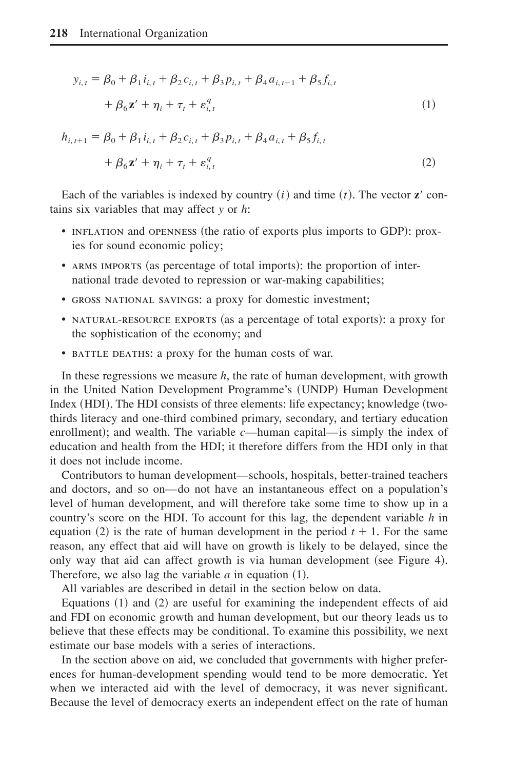$$
y_{i,t} = \beta_0 + \beta_1 i_{i,t} + \beta_2 c_{i,t} + \beta_3 p_{i,t} + \beta_4 a_{i,t-1} + \beta_5 f_{i,t} + \beta_6 \mathbf{z}' + \eta_i + \tau_t + \varepsilon_{i,t}^q
$$
 (1)

$$
h_{i,t+1} = \beta_0 + \beta_1 i_{i,t} + \beta_2 c_{i,t} + \beta_3 p_{i,t} + \beta_4 a_{i,t} + \beta_5 f_{i,t} + \beta_6 \mathbf{z}' + \eta_i + \tau_t + \varepsilon_{i,t}^q
$$
 (2)

Each of the variables is indexed by country  $(i)$  and time  $(t)$ . The vector  $\mathbf{z}'$  contains six variables that may affect *y* or *h*:

- INFLATION and OPENNESS (the ratio of exports plus imports to GDP): proxies for sound economic policy;
- ARMS IMPORTS (as percentage of total imports): the proportion of international trade devoted to repression or war-making capabilities;
- gross national savings: a proxy for domestic investment;
- NATURAL-RESOURCE EXPORTS (as a percentage of total exports): a proxy for the sophistication of the economy; and
- BATTLE DEATHS: a proxy for the human costs of war.

In these regressions we measure *h*, the rate of human development, with growth in the United Nation Development Programme's (UNDP) Human Development Index (HDI). The HDI consists of three elements: life expectancy; knowledge (twothirds literacy and one-third combined primary, secondary, and tertiary education enrollment); and wealth. The variable  $c$ —human capital—is simply the index of education and health from the HDI; it therefore differs from the HDI only in that it does not include income.

Contributors to human development—schools, hospitals, better-trained teachers and doctors, and so on—do not have an instantaneous effect on a population's level of human development, and will therefore take some time to show up in a country's score on the HDI. To account for this lag, the dependent variable *h* in equation (2) is the rate of human development in the period  $t + 1$ . For the same reason, any effect that aid will have on growth is likely to be delayed, since the only way that aid can affect growth is via human development (see Figure 4). Therefore, we also lag the variable  $a$  in equation  $(1)$ .

All variables are described in detail in the section below on data.

Equations  $(1)$  and  $(2)$  are useful for examining the independent effects of aid and FDI on economic growth and human development, but our theory leads us to believe that these effects may be conditional. To examine this possibility, we next estimate our base models with a series of interactions.

In the section above on aid, we concluded that governments with higher preferences for human-development spending would tend to be more democratic. Yet when we interacted aid with the level of democracy, it was never significant. Because the level of democracy exerts an independent effect on the rate of human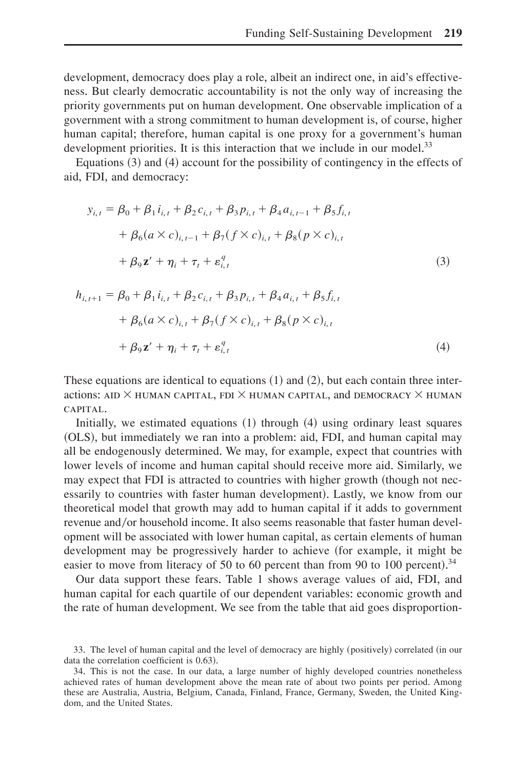development, democracy does play a role, albeit an indirect one, in aid's effectiveness. But clearly democratic accountability is not the only way of increasing the priority governments put on human development. One observable implication of a government with a strong commitment to human development is, of course, higher human capital; therefore, human capital is one proxy for a government's human development priorities. It is this interaction that we include in our model. $33$ 

Equations  $(3)$  and  $(4)$  account for the possibility of contingency in the effects of aid, FDI, and democracy:

$$
y_{i,t} = \beta_0 + \beta_1 i_{i,t} + \beta_2 c_{i,t} + \beta_3 p_{i,t} + \beta_4 a_{i,t-1} + \beta_5 f_{i,t} + \beta_6 (a \times c)_{i,t-1} + \beta_7 (f \times c)_{i,t} + \beta_8 (p \times c)_{i,t} + \beta_9 \mathbf{z}' + \eta_i + \tau_t + \varepsilon_{i,t}^q
$$
(3)

$$
h_{i,t+1} = \beta_0 + \beta_1 i_{i,t} + \beta_2 c_{i,t} + \beta_3 p_{i,t} + \beta_4 a_{i,t} + \beta_5 f_{i,t} + \beta_6 (a \times c)_{i,t} + \beta_7 (f \times c)_{i,t} + \beta_8 (p \times c)_{i,t} + \beta_9 \mathbf{z}' + \eta_i + \tau_t + \varepsilon_{i,t}^q
$$
(4)

These equations are identical to equations  $(1)$  and  $(2)$ , but each contain three interactions: AID  $\times$  HUMAN CAPITAL, FDI  $\times$  HUMAN CAPITAL, and DEMOCRACY  $\times$  HUMAN CAPITAL.

Initially, we estimated equations  $(1)$  through  $(4)$  using ordinary least squares ~OLS!, but immediately we ran into a problem: aid, FDI, and human capital may all be endogenously determined. We may, for example, expect that countries with lower levels of income and human capital should receive more aid. Similarly, we may expect that FDI is attracted to countries with higher growth (though not necessarily to countries with faster human development). Lastly, we know from our theoretical model that growth may add to human capital if it adds to government revenue and/or household income. It also seems reasonable that faster human development will be associated with lower human capital, as certain elements of human development may be progressively harder to achieve (for example, it might be easier to move from literacy of 50 to 60 percent than from 90 to 100 percent).<sup>34</sup>

Our data support these fears. Table 1 shows average values of aid, FDI, and human capital for each quartile of our dependent variables: economic growth and the rate of human development. We see from the table that aid goes disproportion-

<sup>33.</sup> The level of human capital and the level of democracy are highly (positively) correlated (in our data the correlation coefficient is  $0.63$ ).

<sup>34.</sup> This is not the case. In our data, a large number of highly developed countries nonetheless achieved rates of human development above the mean rate of about two points per period. Among these are Australia, Austria, Belgium, Canada, Finland, France, Germany, Sweden, the United Kingdom, and the United States.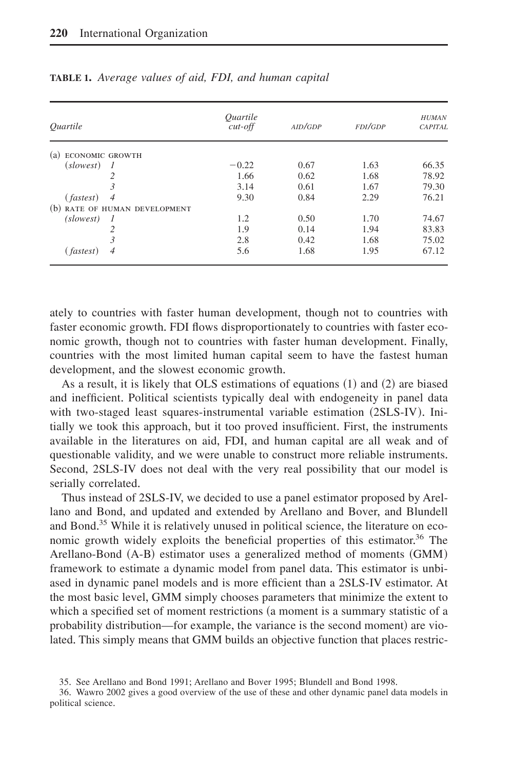| <i><u>Ouartile</u></i>        | <i><u><b>Ouartile</b></u></i><br>$cut-off$ | AID/GDP | FDI/GDP | <b>HUMAN</b><br><b>CAPITAL</b> |
|-------------------------------|--------------------------------------------|---------|---------|--------------------------------|
| <b>ECONOMIC GROWTH</b><br>(a) |                                            |         |         |                                |
| (slowest)<br>$\mathcal{I}$    | $-0.22$                                    | 0.67    | 1.63    | 66.35                          |
| 2                             | 1.66                                       | 0.62    | 1.68    | 78.92                          |
| 3                             | 3.14                                       | 0.61    | 1.67    | 79.30                          |
| (fastest)<br>$\overline{4}$   | 9.30                                       | 0.84    | 2.29    | 76.21                          |
| (b) RATE OF HUMAN DEVELOPMENT |                                            |         |         |                                |
| (slowest)<br>- 1              | 1.2                                        | 0.50    | 1.70    | 74.67                          |
| 2                             | 1.9                                        | 0.14    | 1.94    | 83.83                          |
| 3                             | 2.8                                        | 0.42    | 1.68    | 75.02                          |
| $\overline{4}$<br>(fastest)   | 5.6                                        | 1.68    | 1.95    | 67.12                          |

**TABLE 1.** *Average values of aid, FDI, and human capital*

ately to countries with faster human development, though not to countries with faster economic growth. FDI flows disproportionately to countries with faster economic growth, though not to countries with faster human development. Finally, countries with the most limited human capital seem to have the fastest human development, and the slowest economic growth.

As a result, it is likely that OLS estimations of equations  $(1)$  and  $(2)$  are biased and inefficient. Political scientists typically deal with endogeneity in panel data with two-staged least squares-instrumental variable estimation (2SLS-IV). Initially we took this approach, but it too proved insufficient. First, the instruments available in the literatures on aid, FDI, and human capital are all weak and of questionable validity, and we were unable to construct more reliable instruments+ Second, 2SLS-IV does not deal with the very real possibility that our model is serially correlated.

Thus instead of 2SLS-IV, we decided to use a panel estimator proposed by Arellano and Bond, and updated and extended by Arellano and Bover, and Blundell and Bond.<sup>35</sup> While it is relatively unused in political science, the literature on economic growth widely exploits the beneficial properties of this estimator.<sup>36</sup> The Arellano-Bond (A-B) estimator uses a generalized method of moments (GMM) framework to estimate a dynamic model from panel data. This estimator is unbiased in dynamic panel models and is more efficient than a 2SLS-IV estimator. At the most basic level, GMM simply chooses parameters that minimize the extent to which a specified set of moment restrictions (a moment is a summary statistic of a probability distribution—for example, the variance is the second moment) are violated. This simply means that GMM builds an objective function that places restric-

<sup>35.</sup> See Arellano and Bond 1991; Arellano and Bover 1995; Blundell and Bond 1998.

<sup>36.</sup> Wawro 2002 gives a good overview of the use of these and other dynamic panel data models in political science.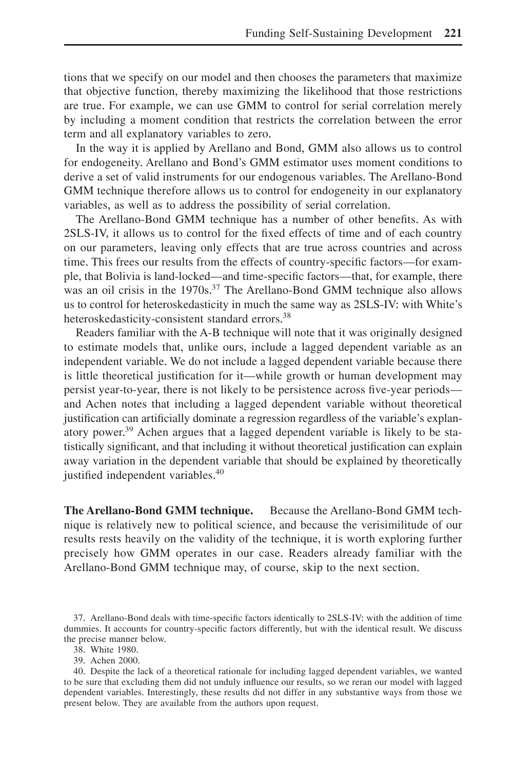tions that we specify on our model and then chooses the parameters that maximize that objective function, thereby maximizing the likelihood that those restrictions are true. For example, we can use GMM to control for serial correlation merely by including a moment condition that restricts the correlation between the error term and all explanatory variables to zero.

In the way it is applied by Arellano and Bond, GMM also allows us to control for endogeneity. Arellano and Bond's GMM estimator uses moment conditions to derive a set of valid instruments for our endogenous variables. The Arellano-Bond GMM technique therefore allows us to control for endogeneity in our explanatory variables, as well as to address the possibility of serial correlation.

The Arellano-Bond GMM technique has a number of other benefits+ As with 2SLS-IV, it allows us to control for the fixed effects of time and of each country on our parameters, leaving only effects that are true across countries and across time. This frees our results from the effects of country-specific factors—for example, that Bolivia is land-locked—and time-specific factors—that, for example, there was an oil crisis in the  $1970s.^{37}$  The Arellano-Bond GMM technique also allows us to control for heteroskedasticity in much the same way as 2SLS-IV: with White's heteroskedasticity-consistent standard errors.<sup>38</sup>

Readers familiar with the A-B technique will note that it was originally designed to estimate models that, unlike ours, include a lagged dependent variable as an independent variable. We do not include a lagged dependent variable because there is little theoretical justification for it—while growth or human development may persist year-to-year, there is not likely to be persistence across five-year periods and Achen notes that including a lagged dependent variable without theoretical justification can artificially dominate a regression regardless of the variable's explanatory power.<sup>39</sup> Achen argues that a lagged dependent variable is likely to be statistically significant, and that including it without theoretical justification can explain away variation in the dependent variable that should be explained by theoretically justified independent variables.<sup>40</sup>

**The Arellano-Bond GMM technique.** Because the Arellano-Bond GMM technique is relatively new to political science, and because the verisimilitude of our results rests heavily on the validity of the technique, it is worth exploring further precisely how GMM operates in our case. Readers already familiar with the Arellano-Bond GMM technique may, of course, skip to the next section.

<sup>37.</sup> Arellano-Bond deals with time-specific factors identically to 2SLS-IV: with the addition of time dummies. It accounts for country-specific factors differently, but with the identical result. We discuss the precise manner below.

<sup>38.</sup> White 1980.

<sup>39.</sup> Achen 2000.

<sup>40.</sup> Despite the lack of a theoretical rationale for including lagged dependent variables, we wanted to be sure that excluding them did not unduly influence our results, so we reran our model with lagged dependent variables. Interestingly, these results did not differ in any substantive ways from those we present below. They are available from the authors upon request.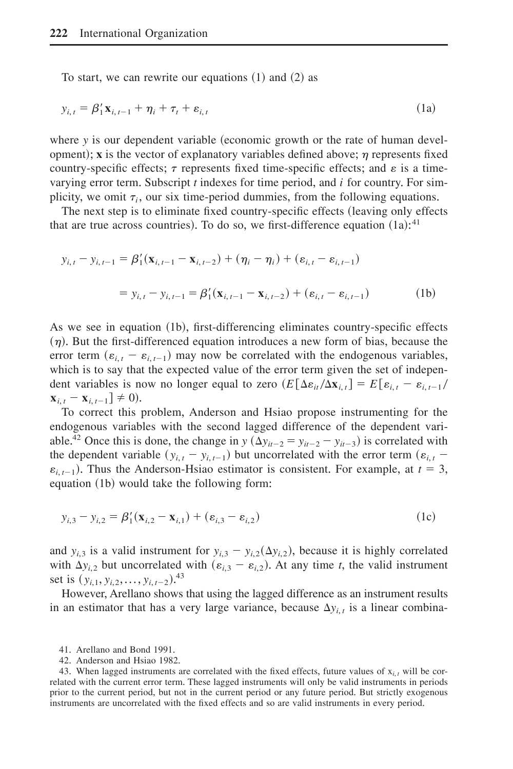To start, we can rewrite our equations  $(1)$  and  $(2)$  as

$$
y_{i,t} = \beta'_1 \mathbf{x}_{i,t-1} + \eta_i + \tau_t + \varepsilon_{i,t}
$$
 (1a)

where *y* is our dependent variable (economic growth or the rate of human development);  $x$  is the vector of explanatory variables defined above;  $\eta$  represents fixed country-specific effects;  $\tau$  represents fixed time-specific effects; and  $\varepsilon$  is a timevarying error term. Subscript *t* indexes for time period, and *i* for country. For simplicity, we omit  $\tau_i$ , our six time-period dummies, from the following equations.

The next step is to eliminate fixed country-specific effects (leaving only effects that are true across countries). To do so, we first-difference equation  $(1a):^{41}$ 

$$
y_{i,t} - y_{i,t-1} = \beta'_1(\mathbf{x}_{i,t-1} - \mathbf{x}_{i,t-2}) + (\eta_i - \eta_i) + (\varepsilon_{i,t} - \varepsilon_{i,t-1})
$$
  
= 
$$
y_{i,t} - y_{i,t-1} = \beta'_1(\mathbf{x}_{i,t-1} - \mathbf{x}_{i,t-2}) + (\varepsilon_{i,t} - \varepsilon_{i,t-1})
$$
 (1b)

As we see in equation (1b), first-differencing eliminates country-specific effects  $(\eta)$ . But the first-differenced equation introduces a new form of bias, because the error term  $(\varepsilon_{i,t} - \varepsilon_{i,t-1})$  may now be correlated with the endogenous variables, which is to say that the expected value of the error term given the set of independent variables is now no longer equal to zero  $(E[\Delta \varepsilon_{it}/\Delta x_{i,t}] = E[\varepsilon_{i,t} - \varepsilon_{i,t-1}/$  $\mathbf{x}_{i, t} - \mathbf{x}_{i, t-1} \neq 0$ .

To correct this problem, Anderson and Hsiao propose instrumenting for the endogenous variables with the second lagged difference of the dependent variable.<sup>42</sup> Once this is done, the change in *y* ( $\Delta y_{it-2} = y_{it-2} - y_{it-3}$ ) is correlated with the dependent variable  $(y_{i,t} - y_{i,t-1})$  but uncorrelated with the error term  $(\varepsilon_{i,t}$  $\varepsilon_{i,t-1}$ ). Thus the Anderson-Hsiao estimator is consistent. For example, at  $t = 3$ , equation (1b) would take the following form:

$$
y_{i,3} - y_{i,2} = \beta'_1(\mathbf{x}_{i,2} - \mathbf{x}_{i,1}) + (\varepsilon_{i,3} - \varepsilon_{i,2})
$$
 (1c)

and  $y_{i,3}$  is a valid instrument for  $y_{i,3} - y_{i,2}(\Delta y_{i,2})$ , because it is highly correlated with  $\Delta y_{i,2}$  but uncorrelated with  $(\varepsilon_{i,3} - \varepsilon_{i,2})$ . At any time *t*, the valid instrument set is  $(y_{i,1}, y_{i,2}, \ldots, y_{i,t-2})$ .<sup>43</sup>

However, Arellano shows that using the lagged difference as an instrument results in an estimator that has a very large variance, because  $\Delta y_{i,t}$  is a linear combina-

<sup>41.</sup> Arellano and Bond 1991.

<sup>42.</sup> Anderson and Hsiao 1982.

<sup>43.</sup> When lagged instruments are correlated with the fixed effects, future values of  $x_{i,t}$  will be correlated with the current error term. These lagged instruments will only be valid instruments in periods prior to the current period, but not in the current period or any future period. But strictly exogenous instruments are uncorrelated with the fixed effects and so are valid instruments in every period.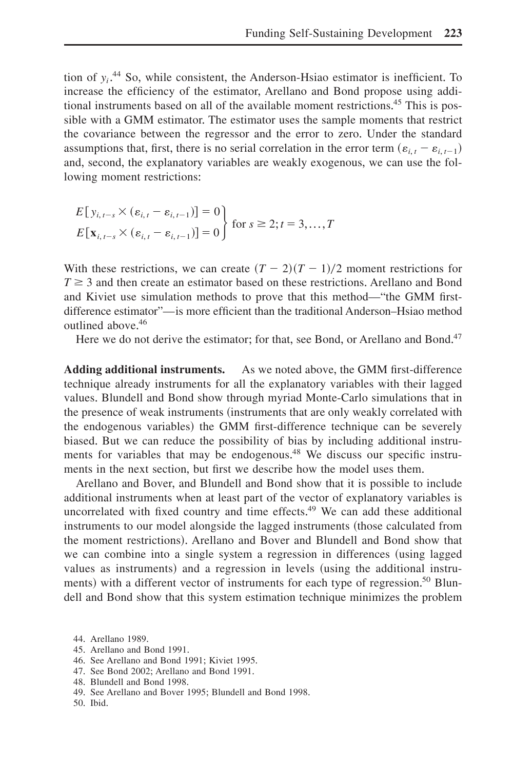tion of  $y_i$ <sup>44</sup> So, while consistent, the Anderson-Hsiao estimator is inefficient. To increase the efficiency of the estimator, Arellano and Bond propose using additional instruments based on all of the available moment restrictions.<sup>45</sup> This is possible with a GMM estimator. The estimator uses the sample moments that restrict the covariance between the regressor and the error to zero+ Under the standard assumptions that, first, there is no serial correlation in the error term  $(\varepsilon_{i,t} - \varepsilon_{i,t-1})$ and, second, the explanatory variables are weakly exogenous, we can use the following moment restrictions:

$$
E[y_{i,t-s} \times (\varepsilon_{i,t} - \varepsilon_{i,t-1})] = 0
$$
  

$$
E[\mathbf{x}_{i,t-s} \times (\varepsilon_{i,t} - \varepsilon_{i,t-1})] = 0
$$
 for  $s \ge 2; t = 3,...,T$ 

With these restrictions, we can create  $(T - 2)(T - 1)/2$  moment restrictions for  $T \geq 3$  and then create an estimator based on these restrictions. Arellano and Bond and Kiviet use simulation methods to prove that this method—"the GMM firstdifference estimator"—is more efficient than the traditional Anderson–Hsiao method outlined above.<sup>46</sup>

Here we do not derive the estimator; for that, see Bond, or Arellano and Bond.<sup>47</sup>

**Adding additional instruments.** As we noted above, the GMM first-difference technique already instruments for all the explanatory variables with their lagged values. Blundell and Bond show through myriad Monte-Carlo simulations that in the presence of weak instruments (instruments that are only weakly correlated with the endogenous variables) the GMM first-difference technique can be severely biased. But we can reduce the possibility of bias by including additional instruments for variables that may be endogenous.<sup>48</sup> We discuss our specific instruments in the next section, but first we describe how the model uses them.

Arellano and Bover, and Blundell and Bond show that it is possible to include additional instruments when at least part of the vector of explanatory variables is uncorrelated with fixed country and time effects.<sup>49</sup> We can add these additional instruments to our model alongside the lagged instruments (those calculated from the moment restrictions). Arellano and Bover and Blundell and Bond show that we can combine into a single system a regression in differences (using lagged values as instruments) and a regression in levels (using the additional instruments) with a different vector of instruments for each type of regression.<sup>50</sup> Blundell and Bond show that this system estimation technique minimizes the problem

- 49. See Arellano and Bover 1995; Blundell and Bond 1998.
- 50. Ibid.

<sup>44.</sup> Arellano 1989.

<sup>45.</sup> Arellano and Bond 1991.

<sup>46.</sup> See Arellano and Bond 1991; Kiviet 1995.

<sup>47.</sup> See Bond 2002; Arellano and Bond 1991.

<sup>48.</sup> Blundell and Bond 1998.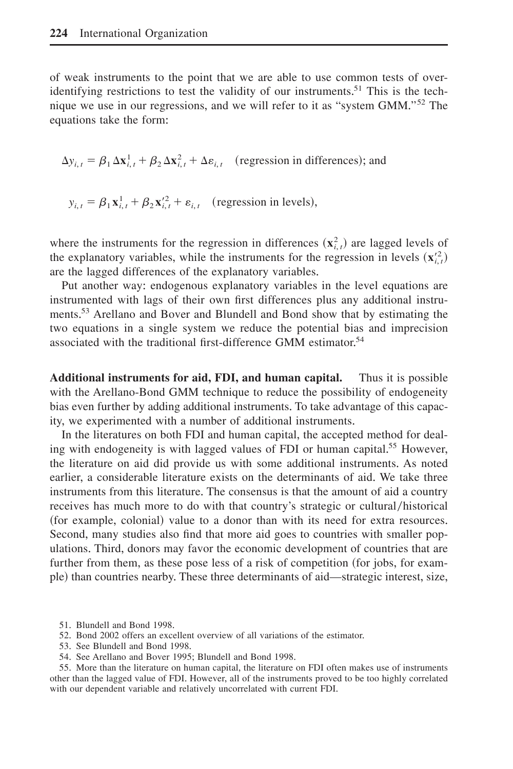of weak instruments to the point that we are able to use common tests of overidentifying restrictions to test the validity of our instruments.<sup>51</sup> This is the technique we use in our regressions, and we will refer to it as "system GMM."<sup>52</sup> The equations take the form:

 $\Delta y_{i,t} = \beta_1 \Delta \mathbf{x}_{i,t}^1 + \beta_2 \Delta \mathbf{x}_{i,t}^2 + \Delta \varepsilon_{i,t}$  (regression in differences); and

 $y_{i,t} = \beta_1 \mathbf{x}_{i,t}^1 + \beta_2 \mathbf{x}_{i,t}^{\prime 2} + \varepsilon_{i,t}$  (regression in levels),

where the instruments for the regression in differences  $(\mathbf{x}_{i,t}^2)$  are lagged levels of the explanatory variables, while the instruments for the regression in levels  $(\mathbf{x}_{i,t}^2)$ are the lagged differences of the explanatory variables.

Put another way: endogenous explanatory variables in the level equations are instrumented with lags of their own first differences plus any additional instruments.<sup>53</sup> Arellano and Bover and Blundell and Bond show that by estimating the two equations in a single system we reduce the potential bias and imprecision associated with the traditional first-difference GMM estimator.<sup>54</sup>

**Additional instruments for aid, FDI, and human capital.** Thus it is possible with the Arellano-Bond GMM technique to reduce the possibility of endogeneity bias even further by adding additional instruments. To take advantage of this capacity, we experimented with a number of additional instruments.

In the literatures on both FDI and human capital, the accepted method for dealing with endogeneity is with lagged values of FDI or human capital.<sup>55</sup> However, the literature on aid did provide us with some additional instruments. As noted earlier, a considerable literature exists on the determinants of aid+ We take three instruments from this literature. The consensus is that the amount of aid a country receives has much more to do with that country's strategic or cultural/historical (for example, colonial) value to a donor than with its need for extra resources. Second, many studies also find that more aid goes to countries with smaller populations. Third, donors may favor the economic development of countries that are further from them, as these pose less of a risk of competition (for jobs, for example) than countries nearby. These three determinants of aid—strategic interest, size,

- 51. Blundell and Bond 1998.
- 52. Bond 2002 offers an excellent overview of all variations of the estimator.
- 53. See Blundell and Bond 1998.
- 54. See Arellano and Bover 1995; Blundell and Bond 1998.

55. More than the literature on human capital, the literature on FDI often makes use of instruments other than the lagged value of FDI. However, all of the instruments proved to be too highly correlated with our dependent variable and relatively uncorrelated with current FDI.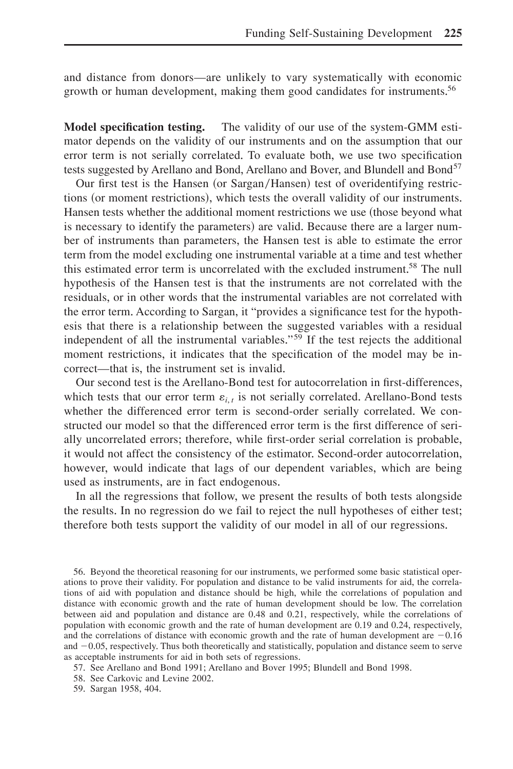and distance from donors—are unlikely to vary systematically with economic growth or human development, making them good candidates for instruments.<sup>56</sup>

**Model specification testing.** The validity of our use of the system-GMM estimator depends on the validity of our instruments and on the assumption that our error term is not serially correlated. To evaluate both, we use two specification tests suggested by Arellano and Bond, Arellano and Bover, and Blundell and Bond<sup>57</sup>

Our first test is the Hansen (or Sargan/Hansen) test of overidentifying restrictions (or moment restrictions), which tests the overall validity of our instruments. Hansen tests whether the additional moment restrictions we use (those beyond what is necessary to identify the parameters) are valid. Because there are a larger number of instruments than parameters, the Hansen test is able to estimate the error term from the model excluding one instrumental variable at a time and test whether this estimated error term is uncorrelated with the excluded instrument.<sup>58</sup> The null hypothesis of the Hansen test is that the instruments are not correlated with the residuals, or in other words that the instrumental variables are not correlated with the error term. According to Sargan, it "provides a significance test for the hypothesis that there is a relationship between the suggested variables with a residual independent of all the instrumental variables."<sup>59</sup> If the test rejects the additional moment restrictions, it indicates that the specification of the model may be incorrect—that is, the instrument set is invalid.

Our second test is the Arellano-Bond test for autocorrelation in first-differences, which tests that our error term  $\varepsilon_{i,t}$  is not serially correlated. Arellano-Bond tests whether the differenced error term is second-order serially correlated. We constructed our model so that the differenced error term is the first difference of serially uncorrelated errors; therefore, while first-order serial correlation is probable, it would not affect the consistency of the estimator. Second-order autocorrelation, however, would indicate that lags of our dependent variables, which are being used as instruments, are in fact endogenous.

In all the regressions that follow, we present the results of both tests alongside the results. In no regression do we fail to reject the null hypotheses of either test; therefore both tests support the validity of our model in all of our regressions+

56. Beyond the theoretical reasoning for our instruments, we performed some basic statistical operations to prove their validity. For population and distance to be valid instruments for aid, the correlations of aid with population and distance should be high, while the correlations of population and distance with economic growth and the rate of human development should be low. The correlation between aid and population and distance are 0.48 and 0.21, respectively, while the correlations of population with economic growth and the rate of human development are 0.19 and 0.24, respectively, and the correlations of distance with economic growth and the rate of human development are  $-0.16$ and  $-0.05$ , respectively. Thus both theoretically and statistically, population and distance seem to serve as acceptable instruments for aid in both sets of regressions.

57. See Arellano and Bond 1991; Arellano and Bover 1995; Blundell and Bond 1998.

58. See Carkovic and Levine 2002.

<sup>59.</sup> Sargan 1958, 404.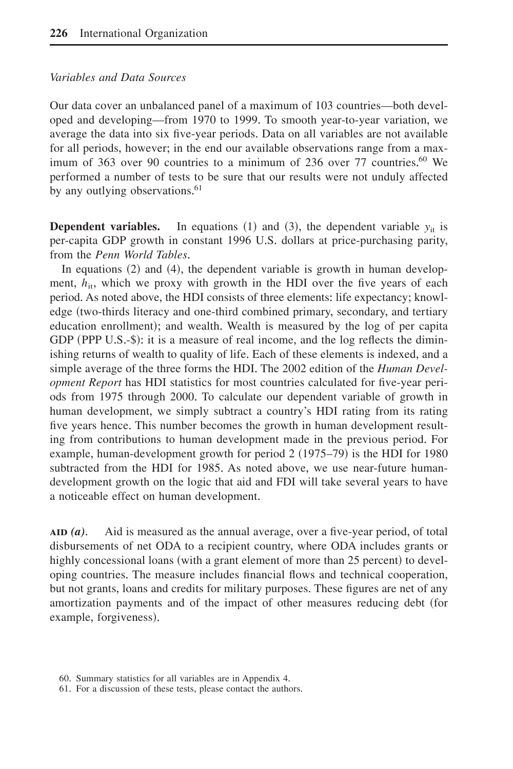#### *Variables and Data Sources*

Our data cover an unbalanced panel of a maximum of 103 countries—both developed and developing—from 1970 to 1999. To smooth year-to-year variation, we average the data into six five-year periods. Data on all variables are not available for all periods, however; in the end our available observations range from a maximum of 363 over 90 countries to a minimum of 236 over 77 countries.<sup>60</sup> We performed a number of tests to be sure that our results were not unduly affected by any outlying observations.<sup>61</sup>

**Dependent variables.** In equations (1) and (3), the dependent variable  $y_{it}$  is per-capita GDP growth in constant 1996 U.S. dollars at price-purchasing parity, from the Penn World Tables.

In equations  $(2)$  and  $(4)$ , the dependent variable is growth in human development,  $h_{it}$ , which we proxy with growth in the HDI over the five years of each period. As noted above, the HDI consists of three elements: life expectancy; knowledge (two-thirds literacy and one-third combined primary, secondary, and tertiary education enrollment); and wealth. Wealth is measured by the log of per capita  $GDP$  (PPP U.S.-\$): it is a measure of real income, and the log reflects the diminishing returns of wealth to quality of life. Each of these elements is indexed, and a simple average of the three forms the HDI. The 2002 edition of the *Human Development Report* has HDI statistics for most countries calculated for five-year periods from 1975 through 2000. To calculate our dependent variable of growth in human development, we simply subtract a country's HDI rating from its rating five years hence. This number becomes the growth in human development resulting from contributions to human development made in the previous period. For example, human-development growth for period  $2$  (1975–79) is the HDI for 1980 subtracted from the HDI for 1985. As noted above, we use near-future humandevelopment growth on the logic that aid and FDI will take several years to have a noticeable effect on human development.

**aid** *(a)*+ Aid is measured as the annual average, over a five-year period, of total disbursements of net ODA to a recipient country, where ODA includes grants or highly concessional loans (with a grant element of more than 25 percent) to developing countries. The measure includes financial flows and technical cooperation, but not grants, loans and credits for military purposes. These figures are net of any amortization payments and of the impact of other measures reducing debt (for example, forgiveness).

<sup>60.</sup> Summary statistics for all variables are in Appendix 4.

<sup>61.</sup> For a discussion of these tests, please contact the authors.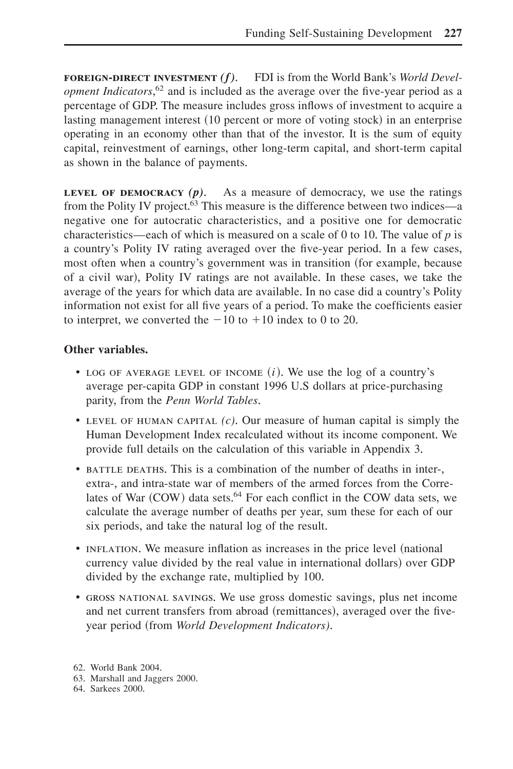**foreign-direct investment** (*f*). FDI is from the World Bank's *World Development Indicators*, <sup>62</sup> and is included as the average over the five-year period as a percentage of GDP. The measure includes gross inflows of investment to acquire a lasting management interest  $(10$  percent or more of voting stock) in an enterprise operating in an economy other than that of the investor. It is the sum of equity capital, reinvestment of earnings, other long-term capital, and short-term capital as shown in the balance of payments.

**LEVEL OF DEMOCRACY**  $(p)$ . As a measure of democracy, we use the ratings from the Polity IV project.<sup>63</sup> This measure is the difference between two indices—a negative one for autocratic characteristics, and a positive one for democratic characteristics—each of which is measured on a scale of 0 to 10. The value of  $p$  is a country's Polity IV rating averaged over the five-year period. In a few cases, most often when a country's government was in transition (for example, because of a civil war), Polity IV ratings are not available. In these cases, we take the average of the years for which data are available. In no case did a country's Polity information not exist for all five years of a period. To make the coefficients easier to interpret, we converted the  $-10$  to  $+10$  index to 0 to 20.

## **Other variables.**

- LOG OF AVERAGE LEVEL OF INCOME  $(i)$ . We use the log of a country's average per-capita GDP in constant 1996 U.S dollars at price-purchasing parity, from the *Penn World Tables*.
- LEVEL OF HUMAN CAPITAL  $(c)$ . Our measure of human capital is simply the Human Development Index recalculated without its income component. We provide full details on the calculation of this variable in Appendix 3.
- BATTLE DEATHS. This is a combination of the number of deaths in inter-, extra-, and intra-state war of members of the armed forces from the Correlates of War  $(COW)$  data sets.<sup>64</sup> For each conflict in the COW data sets, we calculate the average number of deaths per year, sum these for each of our six periods, and take the natural log of the result.
- INFLATION. We measure inflation as increases in the price level (national currency value divided by the real value in international dollars) over GDP divided by the exchange rate, multiplied by 100.
- GROSS NATIONAL SAVINGS. We use gross domestic savings, plus net income and net current transfers from abroad (remittances), averaged over the five $year period (from World Development Indicators).$

- 63. Marshall and Jaggers 2000.
- 64. Sarkees 2000.

<sup>62.</sup> World Bank 2004.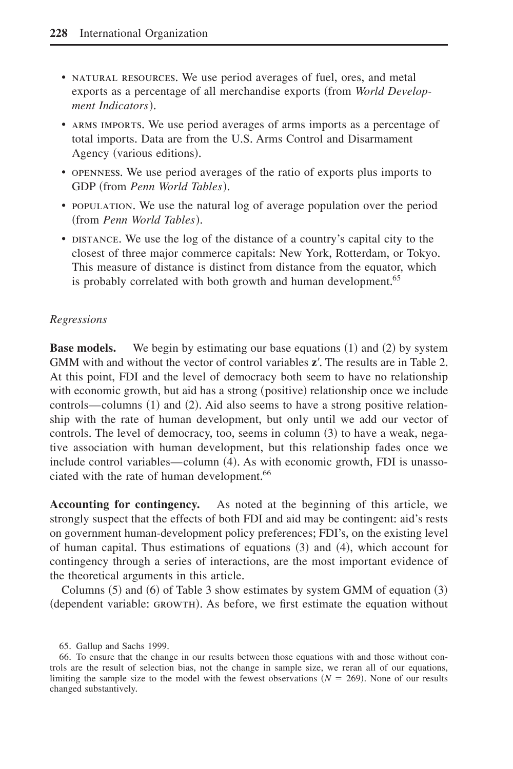- NATURAL RESOURCES. We use period averages of fuel, ores, and metal exports as a percentage of all merchandise exports (from *World Development Indicators*).
- ARMS IMPORTS. We use period averages of arms imports as a percentage of total imports. Data are from the U.S. Arms Control and Disarmament Agency (various editions).
- openness. We use period averages of the ratio of exports plus imports to GDP (from *Penn World Tables*).
- POPULATION. We use the natural log of average population over the period (from Penn World Tables).
- DISTANCE. We use the log of the distance of a country's capital city to the closest of three major commerce capitals: New York, Rotterdam, or Tokyo+ This measure of distance is distinct from distance from the equator, which is probably correlated with both growth and human development.<sup>65</sup>

#### *Regressions*

**Base models.** We begin by estimating our base equations (1) and (2) by system GMM with and without the vector of control variables  $z'$ . The results are in Table 2. At this point, FDI and the level of democracy both seem to have no relationship with economic growth, but aid has a strong (positive) relationship once we include  $controls$ —columns  $(1)$  and  $(2)$ . Aid also seems to have a strong positive relationship with the rate of human development, but only until we add our vector of controls. The level of democracy, too, seems in column  $(3)$  to have a weak, negative association with human development, but this relationship fades once we  $include control variables—column (4). As with economic growth, FDI is unasso$ ciated with the rate of human development.<sup>66</sup>

**Accounting for contingency.** As noted at the beginning of this article, we strongly suspect that the effects of both FDI and aid may be contingent: aid's rests on government human-development policy preferences; FDI's, on the existing level of human capital. Thus estimations of equations  $(3)$  and  $(4)$ , which account for contingency through a series of interactions, are the most important evidence of the theoretical arguments in this article.

Columns  $(5)$  and  $(6)$  of Table 3 show estimates by system GMM of equation  $(3)$ (dependent variable: GROWTH). As before, we first estimate the equation without

<sup>65.</sup> Gallup and Sachs 1999.

<sup>66.</sup> To ensure that the change in our results between those equations with and those without controls are the result of selection bias, not the change in sample size, we reran all of our equations, limiting the sample size to the model with the fewest observations  $(N = 269)$ . None of our results changed substantively.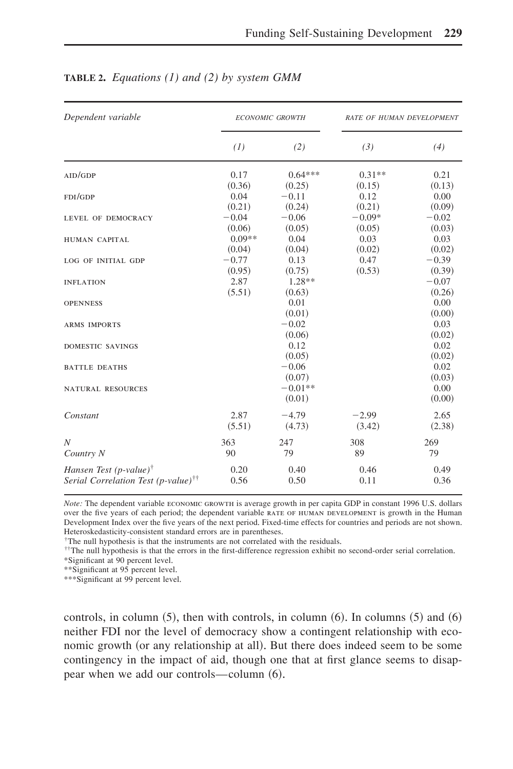| Dependent variable                              |                | ECONOMIC GROWTH     | <b>RATE OF HUMAN DEVELOPMENT</b> |                   |  |  |
|-------------------------------------------------|----------------|---------------------|----------------------------------|-------------------|--|--|
|                                                 | (1)            | (2)                 | (3)                              | (4)               |  |  |
| AID/GDP                                         | 0.17           | $0.64***$           | $0.31**$                         | 0.21              |  |  |
|                                                 | (0.36)         | (0.25)              | (0.15)                           | (0.13)            |  |  |
| FDI/GDP                                         | 0.04           | $-0.11$             | 0.12                             | 0.00              |  |  |
|                                                 | (0.21)         | (0.24)              | (0.21)                           | (0.09)            |  |  |
| LEVEL OF DEMOCRACY                              | $-0.04$        | $-0.06$             | $-0.09*$                         | $-0.02$           |  |  |
|                                                 | (0.06)         | (0.05)              | (0.05)                           | (0.03)            |  |  |
| <b>HUMAN CAPITAL</b>                            | $0.09**$       | 0.04                | 0.03                             | 0.03              |  |  |
|                                                 | (0.04)         | (0.04)              | (0.02)                           | (0.02)            |  |  |
| LOG OF INITIAL GDP                              | $-0.77$        | 0.13                | 0.47                             | $-0.39$           |  |  |
|                                                 | (0.95)         | (0.75)              | (0.53)                           | (0.39)            |  |  |
| <b>INFLATION</b>                                | 2.87<br>(5.51) | $1.28**$<br>(0.63)  |                                  | $-0.07$<br>(0.26) |  |  |
| <b>OPENNESS</b>                                 |                | 0.01<br>(0.01)      |                                  | 0.00<br>(0.00)    |  |  |
| <b>ARMS IMPORTS</b>                             |                | $-0.02$<br>(0.06)   |                                  | 0.03<br>(0.02)    |  |  |
| DOMESTIC SAVINGS                                |                | 0.12<br>(0.05)      |                                  | 0.02<br>(0.02)    |  |  |
| <b>BATTLE DEATHS</b>                            |                | $-0.06$<br>(0.07)   |                                  | 0.02<br>(0.03)    |  |  |
| NATURAL RESOURCES                               |                | $-0.01**$<br>(0.01) |                                  | 0.00<br>(0.00)    |  |  |
| Constant                                        | 2.87           | $-4.79$             | $-2.99$                          | 2.65              |  |  |
|                                                 | (5.51)         | (4.73)              | (3.42)                           | (2.38)            |  |  |
| N                                               | 363            | 247                 | 308                              | 269               |  |  |
| Country N                                       | 90             | 79                  | 89                               | 79                |  |  |
| Hansen Test (p-value) <sup>†</sup>              | 0.20           | 0.40                | 0.46                             | 0.49              |  |  |
| Serial Correlation Test (p-value) <sup>††</sup> | 0.56           | 0.50                | 0.11                             | 0.36              |  |  |

**TABLE 2.** *Equations (1) and (2) by system GMM*

*Note:* The dependent variable ECONOMIC GROWTH is average growth in per capita GDP in constant 1996 U.S. dollars over the five years of each period; the dependent variable rate of human development is growth in the Human Development Index over the five years of the next period. Fixed-time effects for countries and periods are not shown.<br>Heteroskedasticity-consistent standard errors are in parentheses.

<sup> $\dagger$ </sup>The null hypothesis is that the instruments are not correlated with the residuals.<br> $\dagger$ <sup>†</sup>The null hypothesis is that the errors in the first-difference regression exhibit no second-order serial correlation.

\*Significant at 90 percent level+

\*\*Significant at 95 percent level.

\*\*\*Significant at 99 percent level.

controls, in column  $(5)$ , then with controls, in column  $(6)$ . In columns  $(5)$  and  $(6)$ neither FDI nor the level of democracy show a contingent relationship with economic growth (or any relationship at all). But there does indeed seem to be some contingency in the impact of aid, though one that at first glance seems to disappear when we add our controls—column  $(6)$ .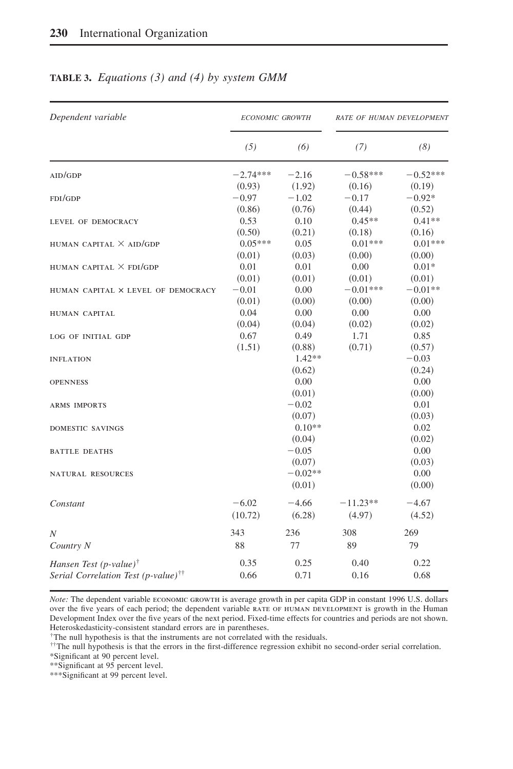| Dependent variable                              | ECONOMIC GROWTH |           | <b>RATE OF HUMAN DEVELOPMENT</b> |            |  |
|-------------------------------------------------|-----------------|-----------|----------------------------------|------------|--|
|                                                 | (5)             | (6)       | (7)                              | (8)        |  |
| AID/GDP                                         | $-2.74***$      | $-2.16$   | $-0.58***$                       | $-0.52***$ |  |
|                                                 | (0.93)          | (1.92)    | (0.16)                           | (0.19)     |  |
| FDI/GDP                                         | $-0.97$         | $-1.02$   | $-0.17$                          | $-0.92*$   |  |
|                                                 | (0.86)          | (0.76)    | (0.44)                           | (0.52)     |  |
| <b>LEVEL OF DEMOCRACY</b>                       | 0.53            | 0.10      | $0.45**$                         | $0.41**$   |  |
|                                                 | (0.50)          | (0.21)    | (0.18)                           | (0.16)     |  |
| HUMAN CAPITAL X AID/GDP                         | $0.05***$       | 0.05      | $0.01***$                        | $0.01***$  |  |
|                                                 | (0.01)          | (0.03)    | (0.00)                           | (0.00)     |  |
| HUMAN CAPITAL $\times$ FDI/GDP                  | 0.01            | 0.01      | 0.00                             | $0.01*$    |  |
|                                                 | (0.01)          | (0.01)    | (0.01)                           | (0.01)     |  |
| HUMAN CAPITAL X LEVEL OF DEMOCRACY              | $-0.01$         | 0.00      | $-0.01***$                       | $-0.01**$  |  |
|                                                 | (0.01)          | (0.00)    | (0.00)                           | (0.00)     |  |
| HUMAN CAPITAL                                   | 0.04            | 0.00      | 0.00                             | 0.00       |  |
|                                                 | (0.04)          | (0.04)    | (0.02)                           | (0.02)     |  |
| LOG OF INITIAL GDP                              | 0.67            | 0.49      | 1.71                             | 0.85       |  |
|                                                 | (1.51)          | (0.88)    | (0.71)                           | (0.57)     |  |
| <b>INFLATION</b>                                |                 | $1.42**$  |                                  | $-0.03$    |  |
|                                                 |                 | (0.62)    |                                  | (0.24)     |  |
| <b>OPENNESS</b>                                 |                 | 0.00      |                                  | 0.00       |  |
|                                                 |                 | (0.01)    |                                  | (0.00)     |  |
| <b>ARMS IMPORTS</b>                             |                 | $-0.02$   |                                  | 0.01       |  |
|                                                 |                 | (0.07)    |                                  | (0.03)     |  |
| <b>DOMESTIC SAVINGS</b>                         |                 | $0.10**$  |                                  | 0.02       |  |
|                                                 |                 | (0.04)    |                                  | (0.02)     |  |
| <b>BATTLE DEATHS</b>                            |                 | $-0.05$   |                                  | 0.00       |  |
|                                                 |                 | (0.07)    |                                  | (0.03)     |  |
| NATURAL RESOURCES                               |                 | $-0.02**$ |                                  | 0.00       |  |
|                                                 |                 | (0.01)    |                                  | (0.00)     |  |
| Constant                                        | $-6.02$         | $-4.66$   | $-11.23**$                       | $-4.67$    |  |
|                                                 | (10.72)         | (6.28)    | (4.97)                           | (4.52)     |  |
| N                                               | 343             | 236       | 308                              | 269        |  |
| Country N                                       | 88              | 77        | 89                               | 79         |  |
| Hansen Test (p-value) <sup>†</sup>              | 0.35            | 0.25      | 0.40                             | 0.22       |  |
| Serial Correlation Test (p-value) <sup>††</sup> | 0.66            | 0.71      | 0.16                             | 0.68       |  |

#### **TABLE 3.** *Equations (3) and (4) by system GMM*

*Note:* The dependent variable ECONOMIC GROWTH is average growth in per capita GDP in constant 1996 U.S. dollars over the five years of each period; the dependent variable rate of human development is growth in the Human Development Index over the five years of the next period. Fixed-time effects for countries and periods are not shown.<br>Heteroskedasticity-consistent standard errors are in parentheses.

<sup>†</sup>The null hypothesis is that the instruments are not correlated with the residuals.<br><sup>††</sup>The null hypothesis is that the errors in the first-difference regression exhibit no second-order serial correlation.

\*Significant at 90 percent level+

\*\*Significant at 95 percent level+

\*\*\*Significant at 99 percent level.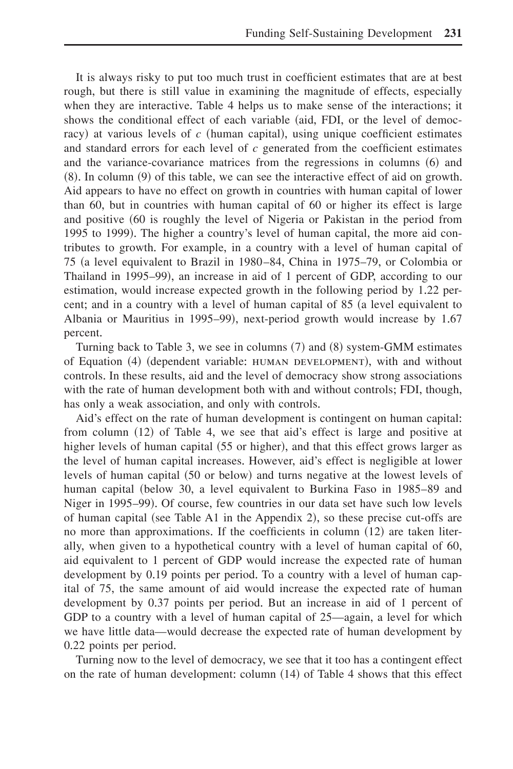It is always risky to put too much trust in coefficient estimates that are at best rough, but there is still value in examining the magnitude of effects, especially when they are interactive. Table 4 helps us to make sense of the interactions; it shows the conditional effect of each variable (aid, FDI, or the level of democracy) at various levels of  $c$  (human capital), using unique coefficient estimates and standard errors for each level of *c* generated from the coefficient estimates and the variance-covariance matrices from the regressions in columns  $(6)$  and  $(8)$ . In column  $(9)$  of this table, we can see the interactive effect of aid on growth. Aid appears to have no effect on growth in countries with human capital of lower than 60, but in countries with human capital of 60 or higher its effect is large and positive (60 is roughly the level of Nigeria or Pakistan in the period from 1995 to 1999). The higher a country's level of human capital, the more aid contributes to growth. For example, in a country with a level of human capital of 75 (a level equivalent to Brazil in 1980–84, China in 1975–79, or Colombia or Thailand in 1995–99), an increase in aid of 1 percent of GDP, according to our estimation, would increase expected growth in the following period by 1.22 percent; and in a country with a level of human capital of 85 (a level equivalent to Albania or Mauritius in 1995–99), next-period growth would increase by  $1.67$ percent.

Turning back to Table 3, we see in columns  $(7)$  and  $(8)$  system-GMM estimates of Equation  $(4)$  (dependent variable: HUMAN DEVELOPMENT), with and without controls. In these results, aid and the level of democracy show strong associations with the rate of human development both with and without controls; FDI, though, has only a weak association, and only with controls.

Aid's effect on the rate of human development is contingent on human capital: from column  $(12)$  of Table 4, we see that aid's effect is large and positive at higher levels of human capital (55 or higher), and that this effect grows larger as the level of human capital increases. However, aid's effect is negligible at lower levels of human capital (50 or below) and turns negative at the lowest levels of human capital (below 30, a level equivalent to Burkina Faso in 1985–89 and Niger in 1995–99). Of course, few countries in our data set have such low levels of human capital (see Table A1 in the Appendix 2), so these precise cut-offs are no more than approximations. If the coefficients in column  $(12)$  are taken literally, when given to a hypothetical country with a level of human capital of 60, aid equivalent to 1 percent of GDP would increase the expected rate of human development by 0.19 points per period. To a country with a level of human capital of 75, the same amount of aid would increase the expected rate of human development by 0.37 points per period. But an increase in aid of 1 percent of GDP to a country with a level of human capital of 25—again, a level for which we have little data—would decrease the expected rate of human development by 0.22 points per period.

Turning now to the level of democracy, we see that it too has a contingent effect on the rate of human development: column  $(14)$  of Table 4 shows that this effect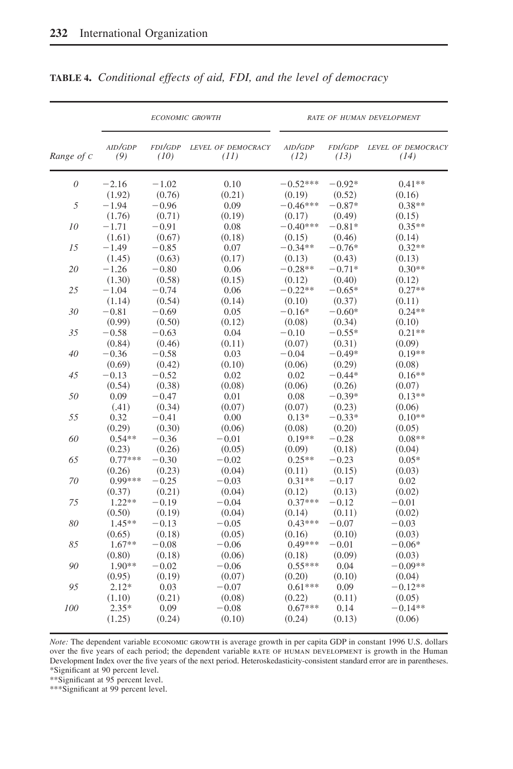|            |                     |                        | ECONOMIC GROWTH            |                    |                        | RATE OF HUMAN DEVELOPMENT  |
|------------|---------------------|------------------------|----------------------------|--------------------|------------------------|----------------------------|
| Range of C | AID/GDP<br>(9)      | <b>FDI/GDP</b><br>(10) | LEVEL OF DEMOCRACY<br>(11) | AID/GDP<br>(12)    | <b>FDI/GDP</b><br>(13) | LEVEL OF DEMOCRACY<br>(14) |
| $\theta$   | $-2.16$             | $-1.02$                | 0.10                       | $-0.52***$         | $-0.92*$               | $0.41**$                   |
|            | (1.92)              | (0.76)                 | (0.21)                     | (0.19)             | (0.52)                 | (0.16)                     |
| 5          | $-1.94$             | $-0.96$                | 0.09                       | $-0.46***$         | $-0.87*$               | $0.38**$                   |
|            | (1.76)              | (0.71)                 | (0.19)                     | (0.17)             | (0.49)                 | (0.15)                     |
| 10         | $-1.71$             | $-0.91$                | 0.08                       | $-0.40***$         | $-0.81*$               | $0.35**$                   |
|            | (1.61)              | (0.67)                 | (0.18)                     | (0.15)             | (0.46)                 | (0.14)                     |
| 15         | $-1.49$             | $-0.85$                | 0.07                       | $-0.34**$          | $-0.76*$               | $0.32**$                   |
|            | (1.45)              | (0.63)                 | (0.17)                     | (0.13)             | (0.43)                 | (0.13)                     |
| 20         | $-1.26$             | $-0.80$                | 0.06                       | $-0.28**$          | $-0.71*$               | $0.30**$                   |
|            | (1.30)              | (0.58)                 | (0.15)                     | (0.12)             | (0.40)                 | (0.12)                     |
| 25         | $-1.04$             | $-0.74$                | 0.06                       | $-0.22**$          | $-0.65*$               | $0.27**$                   |
|            | (1.14)              | (0.54)                 | (0.14)                     | (0.10)             | (0.37)                 | (0.11)                     |
| 30         | $-0.81$             | $-0.69$                | 0.05                       | $-0.16*$           | $-0.60*$               | $0.24**$                   |
|            | (0.99)              | (0.50)                 | (0.12)                     | (0.08)             | (0.34)                 | (0.10)                     |
| 35         | $-0.58$             | $-0.63$                | 0.04                       | $-0.10$            | $-0.55*$               | $0.21**$                   |
|            | (0.84)              | (0.46)                 | (0.11)                     | (0.07)             | (0.31)                 | (0.09)                     |
| 40         | $-0.36$             | $-0.58$                | 0.03                       | $-0.04$            | $-0.49*$               | $0.19**$                   |
|            | (0.69)              | (0.42)                 | (0.10)                     | (0.06)             | (0.29)                 | (0.08)                     |
| 45         | $-0.13$             | $-0.52$                | 0.02                       | 0.02               | $-0.44*$               | $0.16**$                   |
|            | (0.54)              | (0.38)                 | (0.08)                     | (0.06)             | (0.26)                 | (0.07)                     |
| 50         | 0.09                | $-0.47$                | 0.01                       | 0.08               | $-0.39*$               | $0.13**$                   |
|            | (.41)               | (0.34)                 | (0.07)                     | (0.07)             | (0.23)                 | (0.06)                     |
| 55         | 0.32                | $-0.41$                | 0.00                       | $0.13*$            | $-0.33*$               | $0.10**$                   |
|            | (0.29)              | (0.30)                 | (0.06)                     | (0.08)             | (0.20)                 | (0.05)                     |
| 60         | $0.54**$            | $-0.36$                | $-0.01$                    | $0.19**$           | $-0.28$                | $0.08**$                   |
|            |                     |                        | (0.05)                     |                    | (0.18)                 |                            |
| 65         | (0.23)<br>$0.77***$ | (0.26)<br>$-0.30$      |                            | (0.09)<br>$0.25**$ | $-0.23$                | (0.04)<br>$0.05*$          |
|            | (0.26)              | (0.23)                 | $-0.02$<br>(0.04)          | (0.11)             | (0.15)                 | (0.03)                     |
| 70         | $0.99***$           | $-0.25$                | $-0.03$                    | $0.31**$           | $-0.17$                | 0.02                       |
|            |                     |                        |                            |                    |                        |                            |
| 75         | (0.37)<br>$1.22**$  | (0.21)                 | (0.04)                     | (0.12)             | (0.13)                 | (0.02)                     |
|            |                     | $-0.19$                | $-0.04$                    | $0.37***$          | $-0.12$                | $-0.01$                    |
|            | (0.50)              | (0.19)                 | (0.04)                     | (0.14)             | (0.11)                 | (0.02)                     |
| 80         | $1.45**$            | $-0.13$                | $-0.05$                    | $0.43***$          | $-0.07$                | $-0.03$                    |
|            | (0.65)              | (0.18)                 | (0.05)                     | (0.16)             | (0.10)                 | (0.03)                     |
| 85         | $1.67**$            | $-0.08$                | $-0.06$                    | $0.49***$          | $-0.01$                | $-0.06*$                   |
|            | (0.80)              | (0.18)                 | (0.06)                     | (0.18)             | (0.09)                 | (0.03)                     |
| 90         | 1.90**              | $-0.02$                | $-0.06$                    | $0.55***$          | 0.04                   | $-0.09**$                  |
|            | (0.95)              | (0.19)                 | (0.07)                     | (0.20)             | (0.10)                 | (0.04)                     |
| 95         | $2.12*$             | 0.03                   | $-0.07$                    | $0.61***$          | 0.09                   | $-0.12**$                  |
|            | (1.10)              | (0.21)                 | (0.08)                     | (0.22)             | (0.11)                 | (0.05)                     |
| 100        | $2.35*$             | 0.09                   | $-0.08$                    | $0.67***$          | 0.14                   | $-0.14**$                  |
|            | (1.25)              | (0.24)                 | (0.10)                     | (0.24)             | (0.13)                 | (0.06)                     |

**TABLE 4.** *Conditional effects of aid, FDI, and the level of democracy*

*Note:* The dependent variable ECONOMIC GROWTH is average growth in per capita GDP in constant 1996 U.S. dollars over the five years of each period; the dependent variable rate of human development is growth in the Human Development Index over the five years of the next period. Heteroskedasticity-consistent standard error are in parentheses. \*Significant at 90 percent level+

\*\*Significant at 95 percent level.

\*\*\*Significant at 99 percent level+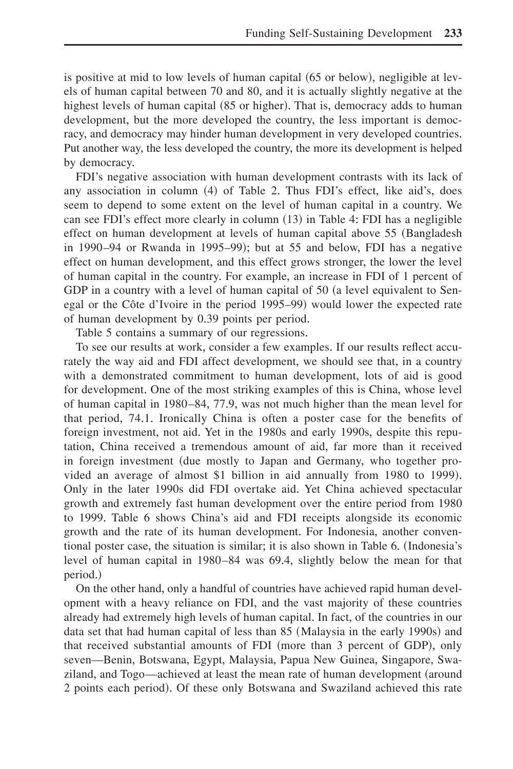is positive at mid to low levels of human capital  $(65$  or below), negligible at levels of human capital between 70 and 80, and it is actually slightly negative at the highest levels of human capital (85 or higher). That is, democracy adds to human development, but the more developed the country, the less important is democracy, and democracy may hinder human development in very developed countries. Put another way, the less developed the country, the more its development is helped by democracy.

FDI's negative association with human development contrasts with its lack of any association in column  $(4)$  of Table 2. Thus FDI's effect, like aid's, does seem to depend to some extent on the level of human capital in a country. We can see FDI's effect more clearly in column  $(13)$  in Table 4: FDI has a negligible effect on human development at levels of human capital above 55 (Bangladesh in 1990–94 or Rwanda in 1995–99); but at 55 and below, FDI has a negative effect on human development, and this effect grows stronger, the lower the level of human capital in the country. For example, an increase in FDI of 1 percent of GDP in a country with a level of human capital of  $50$  (a level equivalent to Senegal or the Côte d'Ivoire in the period 1995–99) would lower the expected rate of human development by 0.39 points per period.

Table 5 contains a summary of our regressions.

To see our results at work, consider a few examples. If our results reflect accurately the way aid and FDI affect development, we should see that, in a country with a demonstrated commitment to human development, lots of aid is good for development. One of the most striking examples of this is China, whose level of human capital in 1980–84, 77.9, was not much higher than the mean level for that period, 74.1. Ironically China is often a poster case for the benefits of foreign investment, not aid. Yet in the 1980s and early 1990s, despite this reputation, China received a tremendous amount of aid, far more than it received in foreign investment (due mostly to Japan and Germany, who together provided an average of almost \$1 billion in aid annually from 1980 to 1999). Only in the later 1990s did FDI overtake aid+ Yet China achieved spectacular growth and extremely fast human development over the entire period from 1980 to 1999. Table 6 shows China's aid and FDI receipts alongside its economic growth and the rate of its human development. For Indonesia, another conventional poster case, the situation is similar; it is also shown in Table 6. (Indonesia's level of human capital in 1980–84 was 69.4, slightly below the mean for that period.)

On the other hand, only a handful of countries have achieved rapid human development with a heavy reliance on FDI, and the vast majority of these countries already had extremely high levels of human capital. In fact, of the countries in our data set that had human capital of less than 85 (Malaysia in the early 1990s) and that received substantial amounts of FDI (more than 3 percent of GDP), only seven—Benin, Botswana, Egypt, Malaysia, Papua New Guinea, Singapore, Swaziland, and Togo—achieved at least the mean rate of human development (around 2 points each period). Of these only Botswana and Swaziland achieved this rate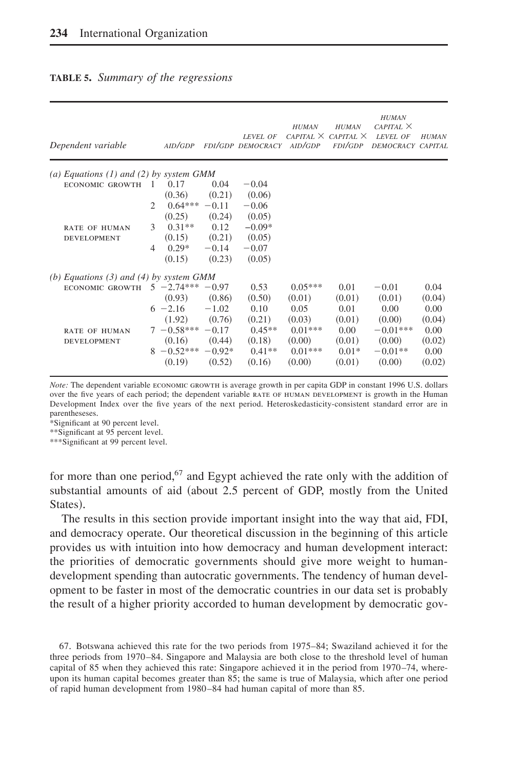| Dependent variable                                                                                                            |                                | AID/GDP                                                                                             |                                                                 | LEVEL OF<br><b>FDI/GDP DEMOCRACY</b>                                              | <b>HUMAN</b><br>AID/GDP                                                             | <b>HUMAN</b><br>CAPITAL $\times$ CAPITAL $\times$<br>FDI/GDP            | <b>HUMAN</b><br>$CAPITAL \times$<br><b>LEVEL OF</b><br>DEMOCRACY CAPITAL           | <b>HUMAN</b>                                                         |
|-------------------------------------------------------------------------------------------------------------------------------|--------------------------------|-----------------------------------------------------------------------------------------------------|-----------------------------------------------------------------|-----------------------------------------------------------------------------------|-------------------------------------------------------------------------------------|-------------------------------------------------------------------------|------------------------------------------------------------------------------------|----------------------------------------------------------------------|
| (a) Equations (1) and (2) by system GMM                                                                                       |                                |                                                                                                     |                                                                 |                                                                                   |                                                                                     |                                                                         |                                                                                    |                                                                      |
| <b>ECONOMIC GROWTH</b><br><b>RATE OF HUMAN</b><br><b>DEVELOPMENT</b>                                                          | -1<br>$\mathfrak{D}$<br>3<br>4 | 0.17<br>(0.36)<br>$0.64*** -0.11$<br>(0.25)<br>$0.31**$<br>(0.15)<br>$0.29*$<br>(0.15)              | 0.04<br>(0.21)<br>(0.24)<br>0.12<br>(0.21)<br>$-0.14$<br>(0.23) | $-0.04$<br>(0.06)<br>$-0.06$<br>(0.05)<br>$-0.09*$<br>(0.05)<br>$-0.07$<br>(0.05) |                                                                                     |                                                                         |                                                                                    |                                                                      |
| (b) Equations (3) and (4) by system $GMM$<br>ECONOMIC GROWTH $5 -2.74*** -0.97$<br><b>RATE OF HUMAN</b><br><b>DEVELOPMENT</b> |                                | (0.93)<br>$6 - 2.16$<br>(1.92)<br>$7 - 0.58*** - 0.17$<br>(0.16)<br>$8 - 0.52*** - 0.92*$<br>(0.19) | (0.86)<br>$-1.02$<br>(0.76)<br>(0.44)<br>(0.52)                 | 0.53<br>(0.50)<br>0.10<br>(0.21)<br>$0.45**$<br>(0.18)<br>$0.41**$<br>(0.16)      | $0.05***$<br>(0.01)<br>0.05<br>(0.03)<br>$0.01***$<br>(0.00)<br>$0.01***$<br>(0.00) | 0.01<br>(0.01)<br>0.01<br>(0.01)<br>0.00<br>(0.01)<br>$0.01*$<br>(0.01) | $-0.01$<br>(0.01)<br>0.00<br>(0.00)<br>$-0.01***$<br>(0.00)<br>$-0.01**$<br>(0.00) | 0.04<br>(0.04)<br>0.00<br>(0.04)<br>0.00<br>(0.02)<br>0.00<br>(0.02) |

#### **TABLE 5.** *Summary of the regressions*

*Note:* The dependent variable ECONOMIC GROWTH is average growth in per capita GDP in constant 1996 U.S. dollars over the five years of each period; the dependent variable rate of human development is growth in the Human Development Index over the five years of the next period. Heteroskedasticity-consistent standard error are in parentheseses.

\*Significant at 90 percent level+

\*\*Significant at 95 percent level+

\*\*\*Significant at 99 percent level.

for more than one period, <sup>67</sup> and Egypt achieved the rate only with the addition of substantial amounts of aid (about 2.5 percent of GDP, mostly from the United States).

The results in this section provide important insight into the way that aid, FDI, and democracy operate. Our theoretical discussion in the beginning of this article provides us with intuition into how democracy and human development interact: the priorities of democratic governments should give more weight to humandevelopment spending than autocratic governments. The tendency of human development to be faster in most of the democratic countries in our data set is probably the result of a higher priority accorded to human development by democratic gov-

67. Botswana achieved this rate for the two periods from 1975–84; Swaziland achieved it for the three periods from 1970–84. Singapore and Malaysia are both close to the threshold level of human capital of 85 when they achieved this rate: Singapore achieved it in the period from 1970–74, whereupon its human capital becomes greater than 85; the same is true of Malaysia, which after one period of rapid human development from 1980–84 had human capital of more than 85.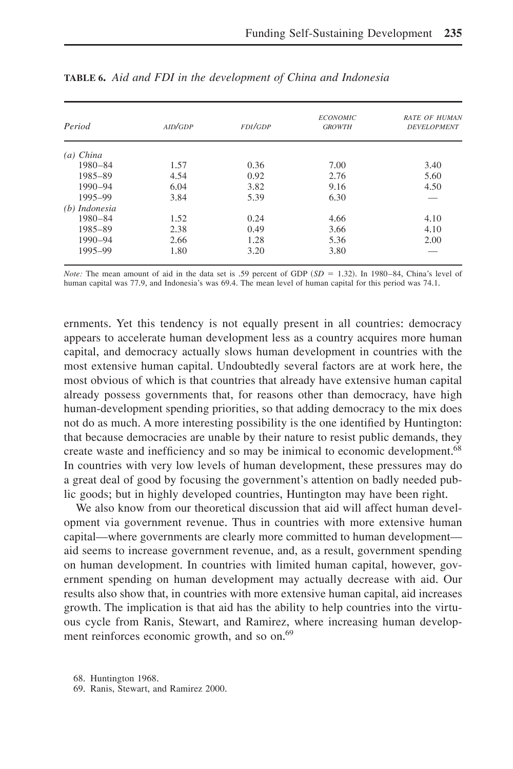| Period        | AID/GDP | <b>FDI/GDP</b> | <b>ECONOMIC</b><br><b>GROWTH</b> | <b>RATE OF HUMAN</b><br><b>DEVELOPMENT</b> |  |
|---------------|---------|----------------|----------------------------------|--------------------------------------------|--|
| $(a)$ China   |         |                |                                  |                                            |  |
| 1980-84       | 1.57    | 0.36           | 7.00                             | 3.40                                       |  |
| 1985-89       | 4.54    | 0.92           | 2.76                             | 5.60                                       |  |
| $1990 - 94$   | 6.04    | 3.82           | 9.16                             | 4.50                                       |  |
| 1995-99       | 3.84    | 5.39           | 6.30                             |                                            |  |
| (b) Indonesia |         |                |                                  |                                            |  |
| 1980-84       | 1.52    | 0.24           | 4.66                             | 4.10                                       |  |
| 1985-89       | 2.38    | 0.49           | 3.66                             | 4.10                                       |  |
| 1990-94       | 2.66    | 1.28           | 5.36                             | 2.00                                       |  |
| 1995-99       | 1.80    | 3.20           | 3.80                             |                                            |  |

**TABLE 6.** *Aid and FDI in the development of China and Indonesia*

*Note:* The mean amount of aid in the data set is  $.59$  percent of GDP  $(SD = 1.32)$ . In 1980–84, China's level of human capital was 77.9, and Indonesia's was 69.4. The mean level of human capital for this period was 74.1.

ernments. Yet this tendency is not equally present in all countries: democracy appears to accelerate human development less as a country acquires more human capital, and democracy actually slows human development in countries with the most extensive human capital. Undoubtedly several factors are at work here, the most obvious of which is that countries that already have extensive human capital already possess governments that, for reasons other than democracy, have high human-development spending priorities, so that adding democracy to the mix does not do as much. A more interesting possibility is the one identified by Huntington: that because democracies are unable by their nature to resist public demands, they create waste and inefficiency and so may be inimical to economic development.<sup>68</sup> In countries with very low levels of human development, these pressures may do a great deal of good by focusing the government's attention on badly needed public goods; but in highly developed countries, Huntington may have been right.

We also know from our theoretical discussion that aid will affect human development via government revenue. Thus in countries with more extensive human capital—where governments are clearly more committed to human development aid seems to increase government revenue, and, as a result, government spending on human development. In countries with limited human capital, however, government spending on human development may actually decrease with aid+ Our results also show that, in countries with more extensive human capital, aid increases growth. The implication is that aid has the ability to help countries into the virtuous cycle from Ranis, Stewart, and Ramirez, where increasing human development reinforces economic growth, and so on.<sup>69</sup>

<sup>68.</sup> Huntington 1968.

<sup>69.</sup> Ranis, Stewart, and Ramirez 2000.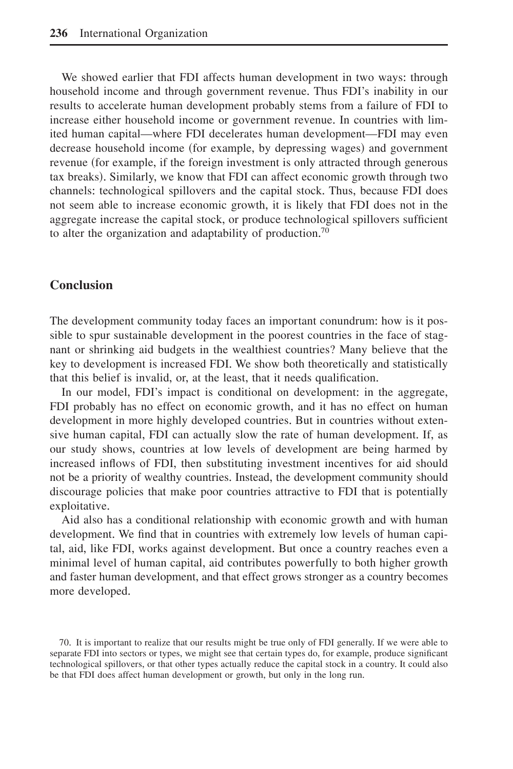We showed earlier that FDI affects human development in two ways: through household income and through government revenue. Thus FDI's inability in our results to accelerate human development probably stems from a failure of FDI to increase either household income or government revenue. In countries with limited human capital—where FDI decelerates human development—FDI may even decrease household income (for example, by depressing wages) and government revenue (for example, if the foreign investment is only attracted through generous tax breaks). Similarly, we know that FDI can affect economic growth through two channels: technological spillovers and the capital stock. Thus, because FDI does not seem able to increase economic growth, it is likely that FDI does not in the aggregate increase the capital stock, or produce technological spillovers sufficient to alter the organization and adaptability of production.<sup>70</sup>

## **Conclusion**

The development community today faces an important conundrum: how is it possible to spur sustainable development in the poorest countries in the face of stagnant or shrinking aid budgets in the wealthiest countries? Many believe that the key to development is increased FDI. We show both theoretically and statistically that this belief is invalid, or, at the least, that it needs qualification.

In our model, FDI's impact is conditional on development: in the aggregate, FDI probably has no effect on economic growth, and it has no effect on human development in more highly developed countries. But in countries without extensive human capital, FDI can actually slow the rate of human development. If, as our study shows, countries at low levels of development are being harmed by increased inflows of FDI, then substituting investment incentives for aid should not be a priority of wealthy countries. Instead, the development community should discourage policies that make poor countries attractive to FDI that is potentially exploitative.

Aid also has a conditional relationship with economic growth and with human development. We find that in countries with extremely low levels of human capital, aid, like FDI, works against development. But once a country reaches even a minimal level of human capital, aid contributes powerfully to both higher growth and faster human development, and that effect grows stronger as a country becomes more developed.

<sup>70.</sup> It is important to realize that our results might be true only of FDI generally. If we were able to separate FDI into sectors or types, we might see that certain types do, for example, produce significant technological spillovers, or that other types actually reduce the capital stock in a country. It could also be that FDI does affect human development or growth, but only in the long run.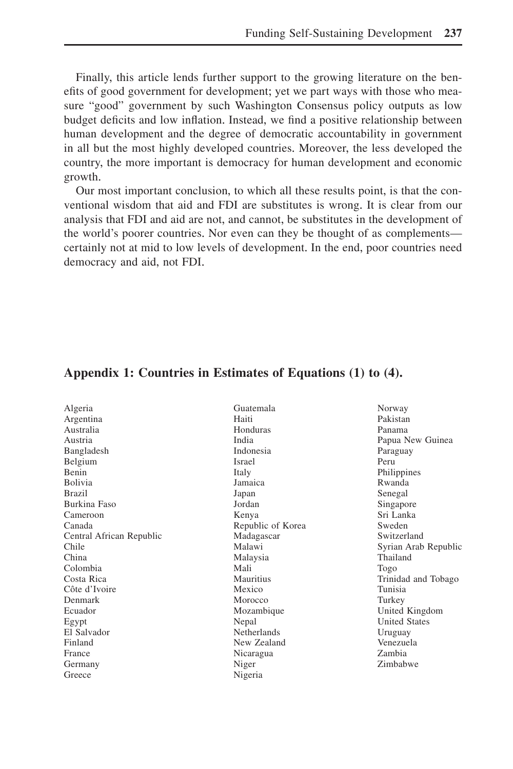Finally, this article lends further support to the growing literature on the benefits of good government for development; yet we part ways with those who measure "good" government by such Washington Consensus policy outputs as low budget deficits and low inflation. Instead, we find a positive relationship between human development and the degree of democratic accountability in government in all but the most highly developed countries. Moreover, the less developed the country, the more important is democracy for human development and economic growth.

Our most important conclusion, to which all these results point, is that the conventional wisdom that aid and FDI are substitutes is wrong+ It is clear from our analysis that FDI and aid are not, and cannot, be substitutes in the development of the world's poorer countries. Nor even can they be thought of as complements certainly not at mid to low levels of development. In the end, poor countries need democracy and aid, not FDI.

## **Appendix 1: Countries in Estimates of Equations (1) to (4).**

Algeria Guatemala Norway Argentina Haiti Pakistan Australia Honduras Panama Austria India Papua New Guinea Bangladesh Indonesia Paraguay Belgium **Israel** Israel **Peru** Benin **Italy** Philippines Bolivia Jamaica Rwanda Brazil Japan Senegal Burkina Faso Singapore and Jordan Singapore Singapore Cameroon Kenya Sri Lanka Canada Republic of Korea Sweden Central African Republic Madagascar Switzerland Chile Malawi Malawi Syrian Arab Republic China Malaysia Thailand Colombia Mali Togo Costa Rica Mauritius Trinidad and Tobago Côte d'Ivoire **Mexico** Mexico **Tunisia** Mexico **Tunisia** Denmark Morocco Turkey Ecuador Mozambique United Kingdom Egypt Nepal Nepal United States El Salvador **Netherlands** Uruguay Finland New Zealand Venezuela France Nicaragua Nicaragua Zambia Germany Niger Zimbabwe Greece Nigeria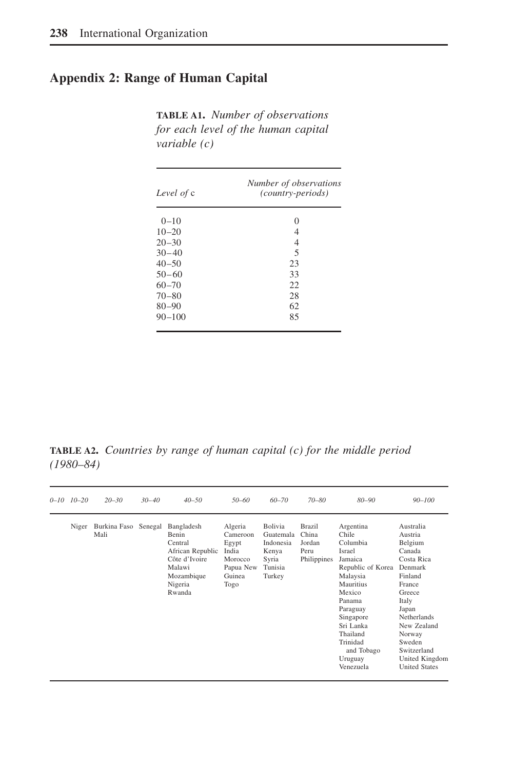# **Appendix 2: Range of Human Capital**

| Level of c | Number of observations<br>(country-periods) |
|------------|---------------------------------------------|
| $0 - 10$   | $\theta$                                    |
| $10 - 20$  | 4                                           |
| $20 - 30$  | 4                                           |
| $30 - 40$  | 5                                           |
| $40 - 50$  | 23                                          |
| $50 - 60$  | 33                                          |
| $60 - 70$  | 22                                          |
| $70 - 80$  | 28                                          |
| $80 - 90$  | 62                                          |
| $90 - 100$ | 85                                          |

**TABLE A1.** *Number of observations for each level of the human capital variable (c)*

**TABLE A2.** *Countries by range of human capital (c) for the middle period (1980–84)*

| $0 - 10$ $10 - 20$ | $20 - 30$            | $30 - 40$ | $40 - 50$                                                                                                               | 50–60                                                                           | $60 - 70$                                                                | $70 - 80$                                        | 80-90                                                                                                                                                                                                                     | $90 - 100$                                                                                                                                                                                                                     |
|--------------------|----------------------|-----------|-------------------------------------------------------------------------------------------------------------------------|---------------------------------------------------------------------------------|--------------------------------------------------------------------------|--------------------------------------------------|---------------------------------------------------------------------------------------------------------------------------------------------------------------------------------------------------------------------------|--------------------------------------------------------------------------------------------------------------------------------------------------------------------------------------------------------------------------------|
| Niger              | Burkina Faso<br>Mali | Senegal   | Bangladesh<br><b>Benin</b><br>Central<br>African Republic<br>Côte d'Ivoire<br>Malawi<br>Mozambique<br>Nigeria<br>Rwanda | Algeria<br>Cameroon<br>Egypt<br>India<br>Morocco<br>Papua New<br>Guinea<br>Togo | Bolivia<br>Guatemala<br>Indonesia<br>Kenya<br>Syria<br>Tunisia<br>Turkey | Brazil<br>China<br>Jordan<br>Peru<br>Philippines | Argentina<br>Chile<br>Columbia<br>Israel<br>Jamaica<br>Republic of Korea<br>Malaysia<br>Mauritius<br>Mexico<br>Panama<br>Paraguay<br>Singapore<br>Sri Lanka<br>Thailand<br>Trinidad<br>and Tobago<br>Uruguay<br>Venezuela | Australia<br>Austria<br>Belgium<br>Canada<br>Costa Rica<br>Denmark<br>Finland<br>France<br>Greece<br>Italy<br>Japan<br>Netherlands<br>New Zealand<br>Norway<br>Sweden<br>Switzerland<br>United Kingdom<br><b>United States</b> |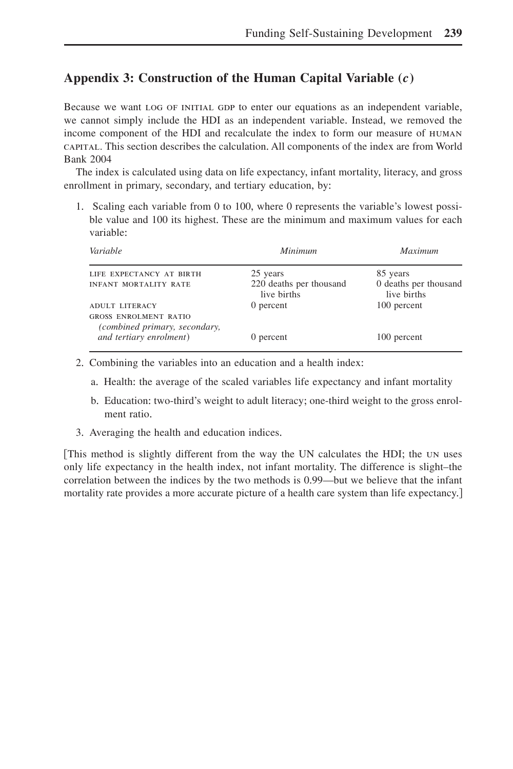# **Appendix 3: Construction of the Human Capital Variable (***c***)**

Because we want LOG OF INITIAL GDP to enter our equations as an independent variable, we cannot simply include the HDI as an independent variable. Instead, we removed the income component of the HDI and recalculate the index to form our measure of human capital. This section describes the calculation+ All components of the index are from World Bank 2004

The index is calculated using data on life expectancy, infant mortality, literacy, and gross enrollment in primary, secondary, and tertiary education, by:

1. Scaling each variable from 0 to 100, where 0 represents the variable's lowest possible value and 100 its highest. These are the minimum and maximum values for each variable:

| Variable                                                      | Minimum                                | <i>Maximum</i>                       |
|---------------------------------------------------------------|----------------------------------------|--------------------------------------|
| LIFE EXPECTANCY AT BIRTH                                      | 25 years                               | 85 years                             |
| <b>INFANT MORTALITY RATE</b>                                  | 220 deaths per thousand<br>live births | 0 deaths per thousand<br>live births |
| ADULT LITERACY                                                | 0 percent                              | 100 percent                          |
| <b>GROSS ENROLMENT RATIO</b><br>(combined primary, secondary, |                                        |                                      |
| and tertiary enrolment)                                       | 0 percent                              | 100 percent                          |

- 2. Combining the variables into an education and a health index:
	- a. Health: the average of the scaled variables life expectancy and infant mortality
	- b. Education: two-third's weight to adult literacy; one-third weight to the gross enrolment ratio.
- 3. Averaging the health and education indices.

[This method is slightly different from the way the UN calculates the HDI; the UN uses only life expectancy in the health index, not infant mortality. The difference is slight–the correlation between the indices by the two methods is 0.99—but we believe that the infant mortality rate provides a more accurate picture of a health care system than life expectancy.]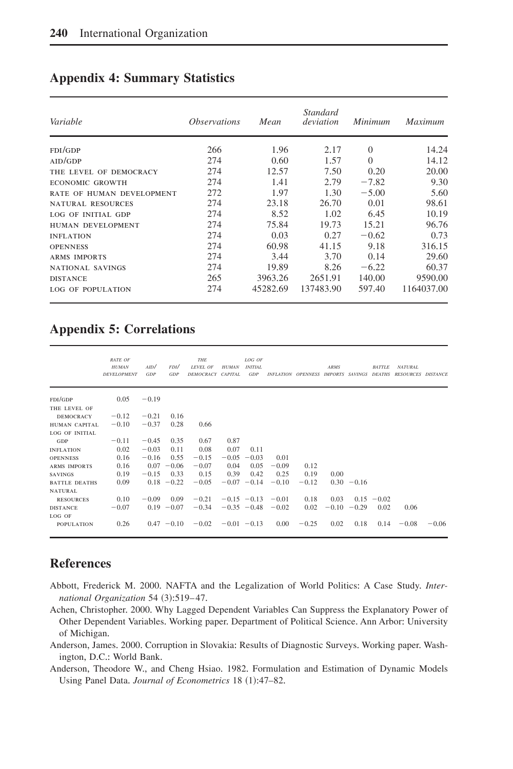| Variable                  | <i><b>Observations</b></i> | Mean     | Standard<br>deviation | Minimum  | <i>Maximum</i> |
|---------------------------|----------------------------|----------|-----------------------|----------|----------------|
| FDI/GDP                   | 266                        | 1.96     | 2.17                  | $\Omega$ | 14.24          |
| AID/GDP                   | 274                        | 0.60     | 1.57                  | $\Omega$ | 14.12          |
| THE LEVEL OF DEMOCRACY    | 274                        | 12.57    | 7.50                  | 0.20     | 20.00          |
| <b>ECONOMIC GROWTH</b>    | 274                        | 1.41     | 2.79                  | $-7.82$  | 9.30           |
| RATE OF HUMAN DEVELOPMENT | 272                        | 1.97     | 1.30                  | $-5.00$  | 5.60           |
| NATURAL RESOURCES         | 274                        | 23.18    | 26.70                 | 0.01     | 98.61          |
| LOG OF INITIAL GDP        | 274                        | 8.52     | 1.02                  | 6.45     | 10.19          |
| <b>HUMAN DEVELOPMENT</b>  | 274                        | 75.84    | 19.73                 | 15.21    | 96.76          |
| <b>INFLATION</b>          | 274                        | 0.03     | 0.27                  | $-0.62$  | 0.73           |
| <b>OPENNESS</b>           | 274                        | 60.98    | 41.15                 | 9.18     | 316.15         |
| <b>ARMS IMPORTS</b>       | 274                        | 3.44     | 3.70                  | 0.14     | 29.60          |
| <b>NATIONAL SAVINGS</b>   | 274                        | 19.89    | 8.26                  | $-6.22$  | 60.37          |
| <b>DISTANCE</b>           | 265                        | 3963.26  | 2651.91               | 140.00   | 9590.00        |
| <b>LOG OF POPULATION</b>  | 274                        | 45282.69 | 137483.90             | 597.40   | 1164037.00     |

## **Appendix 4: Summary Statistics**

# **Appendix 5: Correlations**

|                       | <b>RATE OF</b><br><b>HUMAN</b><br><b>DEVELOPMENT</b> | AID/<br><b>GDP</b> | FDI/<br><b>GDP</b> | <b>THE</b><br>LEVEL OF<br>DEMOCRACY CAPITAL | <b>HUMAN</b>   | LOG OF<br><b>INITIAL</b><br><b>GDP</b> |                         | <b>INFLATION OPENNESS</b> | <b>ARMS</b><br><i><b>IMPORTS SAVINGS</b></i> |                | <b>BATTLE</b><br><b>DEATHS</b> | <b>NATURAL</b><br><b>RESOURCES</b> | <b>DISTANCE</b> |
|-----------------------|------------------------------------------------------|--------------------|--------------------|---------------------------------------------|----------------|----------------------------------------|-------------------------|---------------------------|----------------------------------------------|----------------|--------------------------------|------------------------------------|-----------------|
| FDI/GDP               | 0.05                                                 | $-0.19$            |                    |                                             |                |                                        |                         |                           |                                              |                |                                |                                    |                 |
| THE LEVEL OF          |                                                      |                    |                    |                                             |                |                                        |                         |                           |                                              |                |                                |                                    |                 |
| <b>DEMOCRACY</b>      | $-0.12$                                              | $-0.21$            | 0.16               |                                             |                |                                        |                         |                           |                                              |                |                                |                                    |                 |
| HUMAN CAPITAL         | $-0.10$                                              | $-0.37$            | 0.28               | 0.66                                        |                |                                        |                         |                           |                                              |                |                                |                                    |                 |
| <b>LOG OF INITIAL</b> |                                                      |                    |                    |                                             |                |                                        |                         |                           |                                              |                |                                |                                    |                 |
| GDP                   | $-0.11$                                              | $-0.45$            | 0.35               | 0.67                                        | 0.87           |                                        |                         |                           |                                              |                |                                |                                    |                 |
| <b>INFLATION</b>      | 0.02                                                 | $-0.03$            | 0.11               | 0.08                                        | 0.07           | 0.11                                   |                         |                           |                                              |                |                                |                                    |                 |
| <b>OPENNESS</b>       | 0.16                                                 | $-0.16$            | 0.55               | $-0.15$                                     | $-0.05$        | $-0.03$                                | 0.01                    |                           |                                              |                |                                |                                    |                 |
| <b>ARMS IMPORTS</b>   | 0.16                                                 | 0.07               | $-0.06$            | $-0.07$                                     | 0.04           | 0.05                                   | $-0.09$                 | 0.12                      |                                              |                |                                |                                    |                 |
| <b>SAVINGS</b>        | 0.19                                                 | $-0.15$            | 0.33               | 0.15                                        | 0.39           | 0.42                                   | 0.25                    | 0.19                      | 0.00                                         |                |                                |                                    |                 |
| <b>BATTLE DEATHS</b>  | 0.09                                                 |                    | $0.18 - 0.22$      | $-0.05$                                     |                | $-0.07 -0.14$                          | $-0.10$                 | $-0.12$                   |                                              | $0.30 - 0.16$  |                                |                                    |                 |
| <b>NATURAL</b>        |                                                      |                    |                    |                                             |                |                                        |                         |                           |                                              |                |                                |                                    |                 |
| <b>RESOURCES</b>      | 0.10                                                 | $-0.09$            | 0.09               | $-0.21$                                     |                |                                        | $-0.15$ $-0.13$ $-0.01$ | 0.18                      | 0.03                                         |                | $0.15 - 0.02$                  |                                    |                 |
| <b>DISTANCE</b>       | $-0.07$                                              |                    | $0.19 - 0.07$      | $-0.34$                                     |                | $-0.35 -0.48$                          | $-0.02$                 | 0.02                      |                                              | $-0.10 - 0.29$ | 0.02                           | 0.06                               |                 |
| LOG OF                |                                                      |                    |                    |                                             |                |                                        |                         |                           |                                              |                |                                |                                    |                 |
| <b>POPULATION</b>     | 0.26                                                 |                    | $0.47 - 0.10$      | $-0.02$                                     | $-0.01 - 0.13$ |                                        | $0.00\,$                | $-0.25$                   | 0.02                                         | 0.18           | 0.14                           | $-0.08$                            | $-0.06$         |

# **References**

- Abbott, Frederick M. 2000. NAFTA and the Legalization of World Politics: A Case Study. Inter*national Organization* 54 (3):519-47.
- Achen, Christopher. 2000. Why Lagged Dependent Variables Can Suppress the Explanatory Power of Other Dependent Variables. Working paper. Department of Political Science. Ann Arbor: University of Michigan.
- Anderson, James. 2000. Corruption in Slovakia: Results of Diagnostic Surveys. Working paper. Washington, D.C.: World Bank.

Anderson, Theodore W., and Cheng Hsiao. 1982. Formulation and Estimation of Dynamic Models Using Panel Data. *Journal of Econometrics* 18 (1):47–82.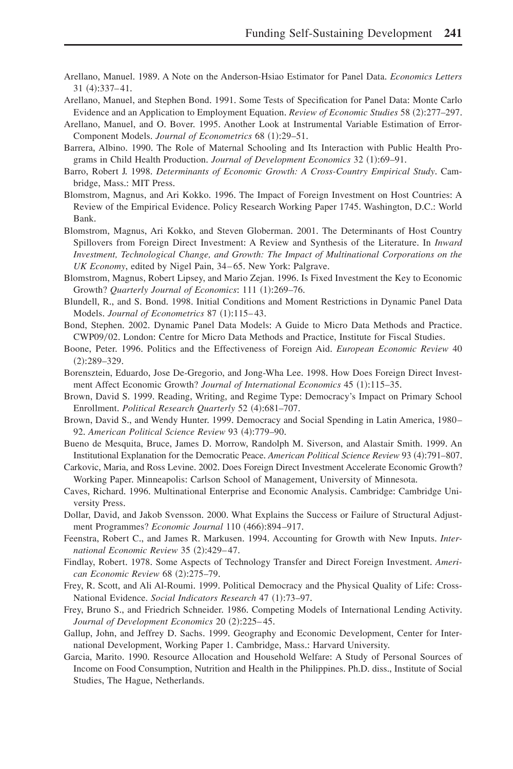- Arellano, Manuel. 1989. A Note on the Anderson-Hsiao Estimator for Panel Data. *Economics Letters* 31 (4):337-41.
- Arellano, Manuel, and Stephen Bond. 1991. Some Tests of Specification for Panel Data: Monte Carlo Evidence and an Application to Employment Equation. *Review of Economic Studies* 58 (2):277–297.
- Arellano, Manuel, and O. Bover. 1995. Another Look at Instrumental Variable Estimation of Error-Component Models. *Journal of Econometrics* 68 (1):29–51.
- Barrera, Albino. 1990. The Role of Maternal Schooling and Its Interaction with Public Health Programs in Child Health Production. *Journal of Development Economics* 32 (1):69–91.
- Barro, Robert J. 1998. *Determinants of Economic Growth: A Cross-Country Empirical Study*. Cambridge, Mass.: MIT Press.
- Blomstrom, Magnus, and Ari Kokko. 1996. The Impact of Foreign Investment on Host Countries: A Review of the Empirical Evidence. Policy Research Working Paper 1745. Washington, D.C.: World Bank.
- Blomstrom, Magnus, Ari Kokko, and Steven Globerman. 2001. The Determinants of Host Country Spillovers from Foreign Direct Investment: A Review and Synthesis of the Literature. In *Inward Investment, Technological Change, and Growth: The Impact of Multinational Corporations on the UK Economy*, edited by Nigel Pain, 34–65. New York: Palgrave.
- Blomstrom, Magnus, Robert Lipsey, and Mario Zejan. 1996. Is Fixed Investment the Key to Economic Growth? Quarterly Journal of Economics: 111 (1):269-76.
- Blundell, R., and S. Bond. 1998. Initial Conditions and Moment Restrictions in Dynamic Panel Data Models. *Journal of Econometrics* 87 (1):115-43.
- Bond, Stephen. 2002. Dynamic Panel Data Models: A Guide to Micro Data Methods and Practice. CWP09/02. London: Centre for Micro Data Methods and Practice, Institute for Fiscal Studies.
- Boone, Peter. 1996. Politics and the Effectiveness of Foreign Aid. *European Economic Review* 40  $(2):289-329.$
- Borensztein, Eduardo, Jose De-Gregorio, and Jong-Wha Lee. 1998. How Does Foreign Direct Investment Affect Economic Growth? *Journal of International Economics* 45 (1):115–35.
- Brown, David S. 1999. Reading, Writing, and Regime Type: Democracy's Impact on Primary School Enrollment. *Political Research Quarterly* 52 (4):681–707.
- Brown, David S., and Wendy Hunter. 1999. Democracy and Social Spending in Latin America, 1980– 92. *American Political Science Review* 93 (4):779–90.
- Bueno de Mesquita, Bruce, James D. Morrow, Randolph M. Siverson, and Alastair Smith. 1999. An Institutional Explanation for the Democratic Peace. *American Political Science Review* 93 (4):791–807.
- Carkovic, Maria, and Ross Levine. 2002. Does Foreign Direct Investment Accelerate Economic Growth? Working Paper. Minneapolis: Carlson School of Management, University of Minnesota.
- Caves, Richard. 1996. Multinational Enterprise and Economic Analysis. Cambridge: Cambridge University Press.
- Dollar, David, and Jakob Svensson. 2000. What Explains the Success or Failure of Structural Adjustment Programmes? *Economic Journal* 110 (466):894–917.
- Feenstra, Robert C., and James R. Markusen. 1994. Accounting for Growth with New Inputs. *International Economic Review* 35 (2):429-47.
- Findlay, Robert. 1978. Some Aspects of Technology Transfer and Direct Foreign Investment. Ameri*can Economic Review* 68 (2):275-79.
- Frey, R. Scott, and Ali Al-Roumi. 1999. Political Democracy and the Physical Quality of Life: Cross-National Evidence. *Social Indicators Research* 47 (1):73–97.
- Frey, Bruno S., and Friedrich Schneider. 1986. Competing Models of International Lending Activity. Journal of Development Economics 20 (2):225-45.
- Gallup, John, and Jeffrey D. Sachs. 1999. Geography and Economic Development, Center for International Development, Working Paper 1. Cambridge, Mass.: Harvard University.
- Garcia, Marito. 1990. Resource Allocation and Household Welfare: A Study of Personal Sources of Income on Food Consumption, Nutrition and Health in the Philippines, Ph<sub>-D</sub>, diss., Institute of Social Studies, The Hague, Netherlands.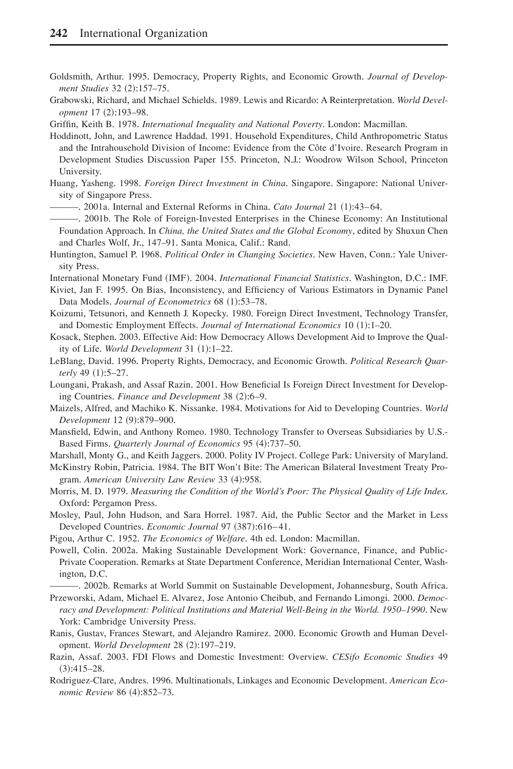Goldsmith, Arthur. 1995. Democracy, Property Rights, and Economic Growth. *Journal of Development Studies* 32 (2):157-75.

Grabowski, Richard, and Michael Schields+ 1989+ Lewis and Ricardo: A Reinterpretation+ *World Development* 17 (2):193-98.

Griffin, Keith B. 1978. *International Inequality and National Poverty*. London: Macmillan.

- Hoddinott, John, and Lawrence Haddad. 1991. Household Expenditures, Child Anthropometric Status and the Intrahousehold Division of Income: Evidence from the Côte d'Ivoire. Research Program in Development Studies Discussion Paper 155. Princeton, N.J.: Woodrow Wilson School, Princeton University.
- Huang, Yasheng, 1998. *Foreign Direct Investment in China*. Singapore, Singapore: National University of Singapore Press.
	- -, 2001a, Internal and External Reforms in China, *Cato Journal* 21 (1):43–64.
- -, 2001b. The Role of Foreign-Invested Enterprises in the Chinese Economy: An Institutional Foundation Approach. In *China, the United States and the Global Economy*, edited by Shuxun Chen and Charles Wolf, Jr., 147–91. Santa Monica, Calif.: Rand.
- Huntington, Samuel P. 1968. *Political Order in Changing Societies*. New Haven, Conn.: Yale University Press.

International Monetary Fund (IMF). 2004. *International Financial Statistics*. Washington, D.C.: IMF.

- Kiviet, Jan F. 1995. On Bias, Inconsistency, and Efficiency of Various Estimators in Dynamic Panel Data Models. *Journal of Econometrics* 68 (1):53–78.
- Koizumi, Tetsunori, and Kenneth J. Kopecky, 1980. Foreign Direct Investment, Technology Transfer, and Domestic Employment Effects. *Journal of International Economics* 10 (1):1–20.
- Kosack, Stephen. 2003. Effective Aid: How Democracy Allows Development Aid to Improve the Quality of Life. *World Development* 31 (1):1–22.
- LeBlang, David. 1996. Property Rights, Democracy, and Economic Growth. Political Research Quar*terly* 49 (1):5-27.
- Loungani, Prakash, and Assaf Razin. 2001. How Beneficial Is Foreign Direct Investment for Developing Countries. *Finance and Development* 38 (2):6–9.
- Maizels, Alfred, and Machiko K. Nissanke. 1984. Motivations for Aid to Developing Countries. *World Development* 12 (9):879-900.
- Mansfield, Edwin, and Anthony Romeo. 1980. Technology Transfer to Overseas Subsidiaries by U.S.-Based Firms. *Quarterly Journal of Economics* 95 (4):737-50.
- Marshall, Monty G., and Keith Jaggers, 2000. Polity IV Project. College Park: University of Maryland.
- McKinstry Robin, Patricia. 1984. The BIT Won't Bite: The American Bilateral Investment Treaty Program, *American University Law Review* 33 (4):958.
- Morris, M. D. 1979. *Measuring the Condition of the World's Poor: The Physical Quality of Life Index.* Oxford: Pergamon Press.
- Mosley, Paul, John Hudson, and Sara Horrel. 1987. Aid, the Public Sector and the Market in Less Developed Countries. *Economic Journal* 97 (387):616–41.

Pigou, Arthur C. 1952. *The Economics of Welfare*. 4th ed. London: Macmillan.

Powell, Colin. 2002a. Making Sustainable Development Work: Governance, Finance, and Public-Private Cooperation. Remarks at State Department Conference, Meridian International Center, Washington, D.C.

—, 2002b. Remarks at World Summit on Sustainable Development, Johannesburg, South Africa.

- Przeworski, Adam, Michael E. Alvarez, Jose Antonio Cheibub, and Fernando Limongi. 2000. *Democ*racy and Development: Political Institutions and Material Well-Being in the World. 1950–1990, New York: Cambridge University Press.
- Ranis, Gustav, Frances Stewart, and Alejandro Ramirez. 2000. Economic Growth and Human Development. *World Development* 28 (2):197–219.
- Razin, Assaf. 2003. FDI Flows and Domestic Investment: Overview. *CESifo Economic Studies* 49  $(3):415-28.$
- Rodriguez-Clare, Andres. 1996. Multinationals, Linkages and Economic Development. *American Economic Review* 86 (4):852-73.